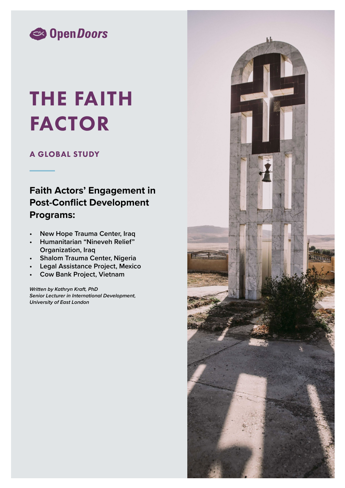

# THE FAITH FACTOR

# A GLOBAL STUDY

# **Faith Actors' Engagement in Post-Conflict Development Programs:**

- **• New Hope Trauma Center, Iraq**
- **• Humanitarian "Nineveh Relief" Organization, Iraq**
- **• Shalom Trauma Center, Nigeria**
- **• Legal Assistance Project, Mexico**
- **• Cow Bank Project, Vietnam**

*Written by Kathryn Kraft, PhD Senior Lecturer in International Development, University of East London*

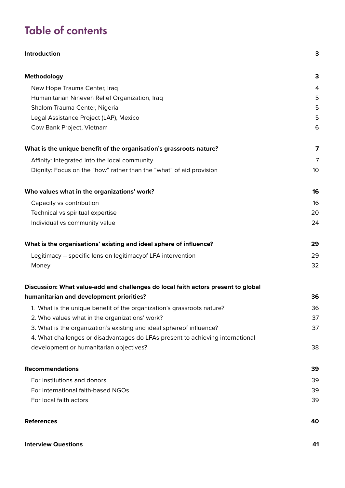# Table of contents

| Introduction                                                                      | 3               |
|-----------------------------------------------------------------------------------|-----------------|
| Methodology                                                                       | 3               |
| New Hope Trauma Center, Iraq                                                      | 4               |
| Humanitarian Nineveh Relief Organization, Iraq                                    | 5               |
| Shalom Trauma Center, Nigeria                                                     | 5               |
| Legal Assistance Project (LAP), Mexico                                            | 5               |
| Cow Bank Project, Vietnam                                                         | 6               |
| What is the unique benefit of the organisation's grassroots nature?               | 7               |
| Affinity: Integrated into the local community                                     | $\overline{7}$  |
| Dignity: Focus on the "how" rather than the "what" of aid provision               | 10 <sup>°</sup> |
| Who values what in the organizations' work?                                       | 16              |
| Capacity vs contribution                                                          | 16              |
| Technical vs spiritual expertise                                                  | 20              |
| Individual vs community value                                                     | 24              |
| What is the organisations' existing and ideal sphere of influence?                | 29              |
| Legitimacy - specific lens on legitimacy of LFA intervention                      | 29              |
| Money                                                                             | 32              |
| Discussion: What value-add and challenges do local faith actors present to global |                 |
| humanitarian and development priorities?                                          | 36              |
| 1. What is the unique benefit of the organization's grassroots nature?            | 36              |
| 2. Who values what in the organizations' work?                                    | 37              |
| 3. What is the organization's existing and ideal sphereof influence?              | 37              |
| 4. What challenges or disadvantages do LFAs present to achieving international    |                 |
| development or humanitarian objectives?                                           | 38              |
| <b>Recommendations</b>                                                            | 39              |
| For institutions and donors                                                       | 39              |
| For international faith-based NGOs                                                | 39              |
| For local faith actors                                                            | 39              |
| <b>References</b>                                                                 | 40              |

## **[Interview Questions](#page-40-0) 41**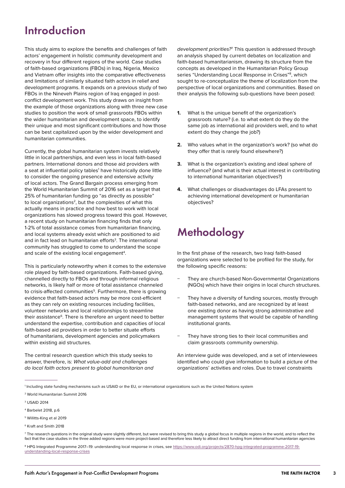# <span id="page-2-0"></span>Introduction

This study aims to explore the benefits and challenges of faith actors' engagement in holistic community development and recovery in four different regions of the world. Case studies of faith-based organizations (FBOs) in Iraq, Nigeria, Mexico and Vietnam offer insights into the comparative effectiveness and limitations of similarly situated faith actors in relief and development programs. It expands on a previous study of two FBOs in the Nineveh Plains region of Iraq engaged in postconflict development work. This study draws on insight from the example of those organizations along with three new case studies to position the work of small grassroots FBOs within the wider humanitarian and development space, to identify their unique and most significant contributions and how those can be best capitalized upon by the wider development and humanitarian communities.

Currently, the global humanitarian system invests relatively little in local partnerships, and even less in local faith-based partners. International donors and those aid providers with a seat at influential policy tables<sup>1</sup> have historically done little to consider the ongoing presence and extensive activity of local actors. The Grand Bargain process emerging from the World Humanitarian Summit of 2016 set as a target that 25% of humanitarian funding go "as directly as possible" to local organizations<sup>2</sup>, but the complexities of what this actually means in practice and how best to work with local organizations has slowed progress toward this goal. However, a recent study on humanitarian financing finds that only 1-2% of total assistance comes from humanitarian financing, and local systems already exist which are positioned to aid and in fact lead on humanitarian efforts<sup>3</sup>. The international community has struggled to come to understand the scope and scale of the existing local engagement<sup>4</sup>.

This is particularly noteworthy when it comes to the extensive role played by faith-based organizations. Faith-based giving, channelled directly to FBOs and through informal religious networks, is likely half or more of total assistance channeled to crisis-affected communities<sup>5</sup>. Furthermore, there is growing evidence that faith-based actors may be more cost-efficient as they can rely on existing resources including facilities, volunteer networks and local relationships to streamline their assistance<sup>6</sup>. There is therefore an urgent need to better understand the expertise, contribution and capacities of local faith-based aid providers in order to better situate efforts of humanitarians, development agencies and policymakers within existing aid structures.

The central research question which this study seeks to answer, therefore, is: *What value-add and challenges do local faith actors present to global humanitarian and* 

*development priorities?*<sup>7</sup> This question is addressed through an analysis shaped by current debates on localization and faith-based humanitarianism, drawing its structure from the concepts as developed in the Humanitarian Policy Group series "Understanding Local Response in Crises"<sup>8</sup>, which sought to re-conceptualize the theme of localization from the perspective of local organizations and communities. Based on their analysis the following sub-questions have been posed:

- **1.** What is the unique benefit of the organization's grassroots nature? (i.e. to what extent do they do the same job as international aid providers well, and to what extent do they change the job?)
- **2.** Who values what in the organization's work? (so what do they offer that is rarely found elsewhere?)
- **3.** What is the organization's existing and ideal sphere of influence? (and what is their actual interest in contributing to international humanitarian objectives?)
- **4.** What challenges or disadvantages do LFAs present to achieving international development or humanitarian objectives?

# Methodology

In the first phase of the research, two Iraqi faith-based organizations were selected to be profiled for the study, for the following specific reasons:

- They are church-based Non-Governmental Organizations (NGOs) which have their origins in local church structures.
- They have a diversity of funding sources, mostly through faith-based networks, and are recognized by at least one existing donor as having strong administrative and management systems that would be capable of handling institutional grants.
- They have strong ties to their local communities and claim grassroots community ownership.

An interview guide was developed, and a set of interviewees identified who could give information to build a picture of the organizations' activities and roles. Due to travel constraints

<sup>8</sup> HPG Integrated Programme 2017-19: understanding local response in crises, see [https://www.odi.org/projects/2870-hpg-integrated-programme-2017-19](https://www.odi.org/projects/2870-hpg-integrated-programme-2017-19-understanding-local-response-crises) [understanding-local-response-crises](https://www.odi.org/projects/2870-hpg-integrated-programme-2017-19-understanding-local-response-crises)

<sup>1</sup> Including state funding mechanisms such as USAID or the EU, or international organizations such as the United Nations system

<sup>2</sup> World Humanitarian Summit 2016

<sup>3</sup> USAID 2014

<sup>4</sup> Barbelet 2018, p.6

<sup>5</sup> Willitts-King et al 2019

<sup>6</sup> Kraft and Smith 2018

<sup>&</sup>lt;sup>7</sup> The research questions in the original study were slightly different, but were revised to bring this study a global focus in multiple regions in the world, and to reflect the fact that the case studies in the three added regions were more project-based and therefore less likely to attract direct funding from international humanitarian agencies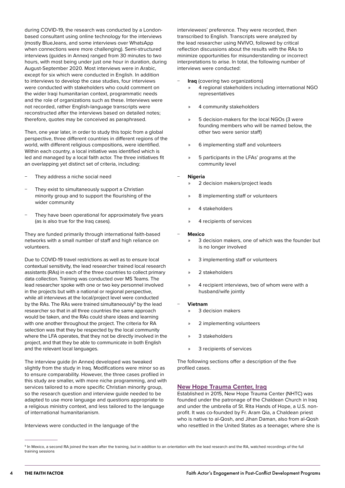<span id="page-3-0"></span>during COVID-19, the research was conducted by a Londonbased consultant using online technology for the interviews (mostly BlueJeans, and some interviews over WhatsApp when connections were more challenging). Semi-structured interviews (guides in Annex) ranged from 30 minutes to two hours, with most being under just one hour in duration, during August-September 2020. Most interviews were in Arabic, except for six which were conducted in English. In addition to interviews to develop the case studies, four interviews were conducted with stakeholders who could comment on the wider Iraqi humanitarian context, programmatic needs and the role of organizations such as these. Interviews were not recorded, rather English-language transcripts were reconstructed after the interviews based on detailed notes; therefore, quotes may be conceived as paraphrased.

Then, one year later, in order to study this topic from a global perspective, three different countries in different regions of the world, with different religious compositions, were identified. Within each country, a local initiative was identified which is led and managed by a local faith actor. The three initiatives fit an overlapping yet distinct set of criteria, including:

- They address a niche social need
- They exist to simultaneously support a Christian minority group and to support the flourishing of the wider community
- They have been operational for approximately five years (as is also true for the Iraq cases).

They are funded primarily through international faith-based networks with a small number of staff and high reliance on volunteers.

Due to COVID-19 travel restrictions as well as to ensure local contextual sensitivity, the lead researcher trained local research assistants (RAs) in each of the three countries to collect primary data collection. Training was conducted over MS Teams. The lead researcher spoke with one or two key personnel involved in the projects but with a national or regional perspective, while all interviews at the local/project level were conducted by the RAs. The RAs were trained simultaneously<sup>9</sup> by the lead researcher so that in all three countries the same approach would be taken, and the RAs could share ideas and learning with one another throughout the project. The criteria for RA selection was that they be respected by the local community where the LFA operates, that they not be directly involved in the project, and that they be able to communicate in both English and the relevant local languages.

The interview guide (in Annex) developed was tweaked slightly from the study in Iraq. Modifications were minor so as to ensure comparability. However, the three cases profiled in this study are smaller, with more niche programming, and with services tailored to a more specific Christian minority group, so the research question and interview guide needed to be adapted to use more language and questions appropriate to a religious ministry context, and less tailored to the language of international humanitarianism.

Interviews were conducted in the language of the

interviewees' preference. They were recorded, then transcribed to English. Transcripts were analyzed by the lead researcher using NVIVO, followed by critical reflection discussions about the results with the RAs to minimize opportunities for misunderstanding or incorrect interpretations to arise. In total, the following number of interviews were conducted:

- − **Iraq** (covering two organizations)
	- » 4 regional stakeholders including international NGO representatives
	- » 4 community stakeholders
	- » 5 decision-makers for the local NGOs (3 were founding members who will be named below, the other two were senior staff)
	- » 6 implementing staff and volunteers
	- » 5 participants in the LFAs' programs at the community level

#### − **Nigeria**

- » 2 decision makers/project leads
- » 8 implementing staff or volunteers
- » 4 stakeholders
- » 4 recipients of services

#### − **Mexico**

- 3 decision makers, one of which was the founder but is no longer involved
- 3 implementing staff or volunteers
- » 2 stakeholders
- 4 recipient interviews, two of whom were with a husband/wife jointly

#### − **Vietnam**

- 3 decision makers
- » 2 implementing volunteers
- » 3 stakeholders
- » 3 recipients of services

The following sections offer a description of the five profiled cases.

#### **New Hope Trauma Center, Iraq**

Established in 2015, New Hope Trauma Center (NHTC) was founded under the patronage of the Chaldean Church in Iraq and under the umbrella of St. Rita Hands of Hope, a U.S. nonprofit. It was co-founded by Fr. Aram Qia, a Chaldean priest who is native to al-Qosh, and Jihan Daman, also from al-Qosh who resettled in the United States as a teenager, where she is

<sup>9</sup> In Mexico, a second RA joined the team after the training, but in addition to an orientation with the lead research and the RA, watched recordings of the full training sessions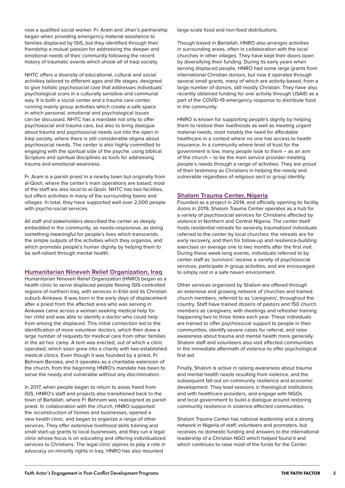<span id="page-4-0"></span>now a qualified social worker. Fr. Aram and Jihan's partnership began when providing emergency material assistance to families displaced by ISIS, but they identified through their friendship a mutual passion for addressing the deeper and emotional needs of their community following the recent history of traumatic events which shook all of Iraqi society.

NHTC offers a diversity of educational, cultural and social activities tailored to different ages and life stages, designed to give holistic psychosocial care that addresses individuals' psychological scars in a culturally sensitive and communal way. It is both a social center and a trauma care center, running mainly group activities which create a safe space in which personal, emotional and psychological issues can be discussed. NHTC has a mandate not only to offer psychosocial and trauma care, but also to bring dialogue about trauma and psychosocial needs out into the open in Iraqi society, where there is still considerable stigma about psychosocial needs. The center is also highly committed to engaging with the spiritual side of the psyche, using biblical Scripture and spiritual disciplines as tools for addressing trauma and emotional weariness.

Fr. Aram is a parish priest in a nearby town but originally from al-Qosh, where the center's main operations are based; most of the staff are also local to al-Qosh. NHTC has two facilities, but offers activities in many of the surrounding towns and villages. In total, they have supported well over 2,000 people with psycho-social services.

All staff and stakeholders described the center as deeply embedded in the community, as needs-responsive, as doing something meaningful for people's lives which transcends the simple outputs of the activities which they organize, and which promotes people's human dignity by helping them to be self-reliant through mental health.

#### **Humanitarian Nineveh Relief Organization, Iraq**

Humanitarian Nineveh Relief Organization (HNRO) began as a health clinic to serve displaced people fleeing ISIS-controlled regions of northern Iraq, with services in Erbil and its Christian suburb Ainkawa. It was born in the early days of displacement after a priest from the affected area who was serving in Ainkawa came across a woman seeking medical help for her child and was able to identify a doctor who could help from among the displaced. This initial connection led to the identification of more volunteer doctors, which then drew a large number of requests for medical care from other families in the ad hoc camp. A tent was erected, out of which a clinic operated, which soon grew into a charity with two established medical clinics. Even though it was founded by a priest, Fr Behnam Benoka, and it operates as a charitable extension of the church, from the beginning HNRO's mandate has been to serve the needy and vulnerable without any discrimination.

In 2017, when people began to return to areas freed from ISIS, HNRO's staff and projects also transitioned back to the town of Bartallah, where Fr Behnam was reassigned as parish priest. In collaboration with the church, HNRO supported the reconstruction of homes and businesses, opened a new health clinic, and began to organize a range of other services. They offer extensive livelihood skills training and small start-up grants to local businesses, and they run a legal clinic whose focus is on educating and offering individualized services to Christians. The legal clinic aspires to play a role in advocacy on minority rights in Iraq. HNRO has also mounted

large-scale food and non-food distributions.

Though based in Bartallah, HNRO also arranges activities in surrounding areas, often in collaboration with the local churches in other villages. They have kept their doors open by diversifying their funding. During its early years when serving displaced people, HNRO had some large grants from international Christian donors, but now it operates through several small grants, many of which are activity-based, from a large number of donors, still mostly Christian. They have also recently obtained funding for one activity through USAID as a part of the COVID-19 emergency response to distribute food in the community.

HNRO is known for supporting people's dignity by helping them to restore their livelihoods as well as meeting urgent material needs, most notably the need for affordable healthcare in a context where no one has access to health insurance. In a community where level of trust for the government is low, many people look to them – as an arm of the church – to be the main service provider meeting people's needs through a range of activities. They are proud of their testimony as Christians in helping the needy and vulnerable regardless of religious sect or group identity.

#### **Shalom Trauma Center, Nigeria**

Founded as a project in 2014, and officially opening its facility doors in 2019, Shalom Trauma Center operates as a hub for a variety of psychosocial services for Christians affected by violence in Northern and Central Nigeria. The center itself hosts residential retreats for severely traumatized individuals referred to the center by local churches: the retreats are for early recovery, and then for follow-up and resilience-building exercises on average one to two months after the first visit. During these week-long events, individuals referred to by center staff as 'survivors' receive a variety of psychosocial services, participate in group activities, and are encouraged to simply rest in a safe haven environment.

Other services organized by Shalom are offered through an extensive and growing network of churches and trained church members, referred to as 'caregivers', throughout the country. Staff have trained dozens of pastors and 150 church members as caregivers, with meetings and refresher training happening two to three times each year. These individuals are trained to offer psychosocial support to people in their communities, identify severe cases for referral, and raise awareness about trauma and mental health more generally. Shalom staff and volunteers also visit affected communities in the immediate aftermath of violence to offer psychological first aid.

Finally, Shalom is active in raising awareness about trauma and mental health needs resulting from violence, and the subsequent fall-out on community resilience and economic development. They lead sessions in theological institutions and with healthcare providers, and engage with NGOs and local government to build a dialogue around restoring community resilience in violence-affected communities.

Shalom Trauma Center has national leadership and a strong network in Nigeria of staff, volunteers and promoters, but receives no domestic funding and answers to the international leadership of a Christian NGO which helped found it and which continues to raise most of the funds for the Center.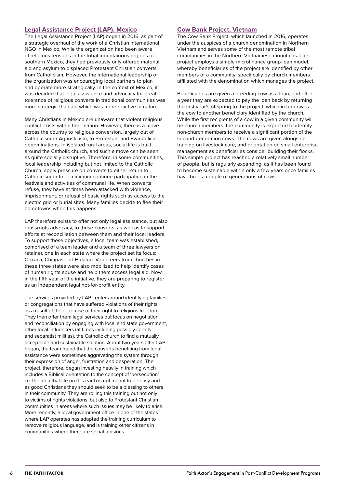### <span id="page-5-0"></span>**Legal Assistance Project (LAP), Mexico**

The Legal Assistance Project (LAP) began in 2016, as part of a strategic overhaul of the work of a Christian international NGO in Mexico. While the organization had been aware of religious tensions in the tribal mountainous regions of southern Mexico, they had previously only offered material aid and asylum to displaced Protestant Christian converts from Catholicism. However, the international leadership of the organization was encouraging local partners to plan and operate more strategically. In the context of Mexico, it was decided that legal assistance and advocacy for greater tolerance of religious converts in traditional communities was more strategic than aid which was more reactive in nature.

Many Christians in Mexico are unaware that violent religious conflict exists within their nation. However, there is a move across the country to religious conversion, largely out of Catholicism or Agnosticism, to Protestant and Evangelical denominations. In isolated rural areas, social life is built around the Catholic church, and such a move can be seen as quite socially disruptive. Therefore, in some communities, local leadership including but not limited to the Catholic Church, apply pressure on converts to either return to Catholicism or to at minimum continue participating in the festivals and activities of communal life. When converts refuse, they have at times been attacked with violence, imprisonment, or refusal of basic rights such as access to the electric grid or burial sites. Many families decide to flee their hometowns when this happens.

LAP therefore exists to offer not only legal assistance, but also grassroots advocacy, to these converts, as well as to support efforts at reconciliation between them and their local leaders. To support these objectives, a local team was established, comprised of a team leader and a team of three lawyers on retainer, one in each state where the project set its focus: Oaxaca, Chiapas and Hidalgo. Volunteers from churches in these three states were also mobilized to help identify cases of human rights abuse and help them access legal aid. Now, in the fifth year of the initiative, they are preparing to register as an independent legal not-for-profit entity.

The services provided by LAP center around identifying families or congregations that have suffered violations of their rights as a result of their exercise of their right to religious freedom. They then offer them legal services but focus on negotiation and reconciliation by engaging with local and state government, other local influencers (at times including possibly cartels and separatist militias), the Catholic church to find a mutually acceptable and sustainable solution. About two years after LAP began, the team found that the converts benefiting from legal assistance were sometimes aggravating the system through their expression of anger, frustration and desperation. The project, therefore, began investing heavily in training which includes a Biblical orientation to the concept of 'persecution', i.e. the idea that life on this earth is not meant to be easy and as good Christians they should seek to be a blessing to others in their community. They are rolling this training out not only to victims of rights violations, but also to Protestant Christian communities in areas where such issues may be likely to arise. More recently, a local government office in one of the states where LAP operates has adapted the training curriculum to remove religious language, and is training other citizens in communities where there are social tensions.

### **Cow Bank Project, Vietnam**

The Cow Bank Project, which launched in 2016, operates under the auspices of a church denomination in Northern Vietnam and serves some of the most remote tribal communities in the Northern Vietnamese mountains. The project employs a simple microfinance group-loan model, whereby beneficiaries of the project are identified by other members of a community, specifically by church members affiliated with the denomination which manages the project.

Beneficiaries are given a breeding cow as a loan, and after a year they are expected to pay the loan back by returning the first year's offspring to the project, which in turn gives the cow to another beneficiary identified by the church. While the first recipients of a cow in a given community will be church members, the community is expected to identify non-church members to receive a significant portion of the second-generation cows. The cows are given alongside training on livestock care, and orientation on small enterprise management as beneficiaries consider building their flocks. This simple project has reached a relatively small number of people, but is regularly expanding, as it has been found to become sustainable within only a few years once families have bred a couple of generations of cows.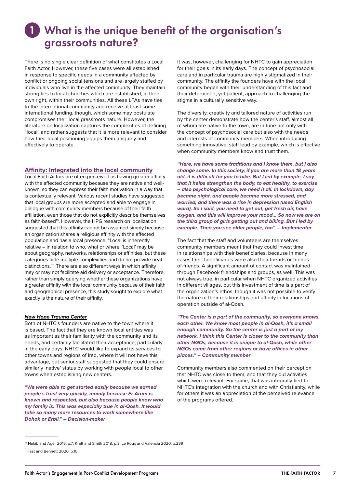# <span id="page-6-0"></span>What is the unique benefit of the organisation's 1grassroots nature?

There is no single clear definition of what constitutes a Local Faith Actor. However, these five cases were all established in response to specific needs in a community affected by conflict or ongoing social tensions and are largely staffed by individuals who live in the affected community. They maintain strong ties to local churches which are established, in their own right, within their communities. All these LFAs have ties to the international community and receive at least some international funding, though, which some may postulate compromises their local grassroots nature. However, the literature on localization captures the complexities of defining "local" and rather suggests that it is more relevant to consider how their local positioning equips them uniquely and effectively to operate.

### **Affinity: Integrated into the local community**

Local Faith Actors are often perceived as having greater affinity with the affected community because they are native and wellknown, so they can express their faith motivation in a way that is contextually relevant. Various recent studies have suggested that local groups are more accepted and able to engage in dialogue with community members because of their faith affiliation, even those that do not explicitly describe themselves as faith-based<sup>10</sup>. However, the HPG research on localization suggested that this affinity cannot be assumed simply because an organization shares a religious affinity with the affected population and has a local presence. "Local is inherently relative – in relation to who, what or where. 'Local' may be about geography, networks, relationships or affinities, but these categories hide multiple complexities and do not provide neat distinctions."<sup>11</sup> There are also different ways in which affinity may or may not facilitate aid delivery or acceptance. Therefore, rather than simply querying whether these organizations have a greater affinity with the local community because of their faith and geographical presence, this study sought to explore what exactly is the nature of their affinity.

#### *New Hope Trauma Center*

Both of NHTC's founders are native to the town where it is based. The fact that they are known local entities was as important as their familiarity with the community and its needs, and certainly facilitated their acceptance, particularly in the early days. NHTC would like to expand its services to other towns and regions of Iraq, where it will not have this advantage, but senior staff suggested that they could ensure similarly 'native' status by working with people local to other towns when establishing new centers.

*"We were able to get started easily because we earned people's trust very quickly, mainly because Fr Aram is known and respected, but also because people know who my family is. This was especially true in al-Qosh. It would take so many more resources to work somewhere like Dohok or Erbil." – Decision-maker*

It was, however, challenging for NHTC to gain appreciation for their goals in its early days. The concept of psychosocial care and in particular trauma are highly stigmatized in their community. The affinity the founders have with the local community began with their understanding of this fact and their determined, yet patient, approach to challenging the stigma in a culturally sensitive way.

The diversity, creativity and tailored nature of activities run by the center demonstrate how the center's staff, almost all of whom are native to the town, are in tune not only with the concept of psychosocial care but also with the needs and interests of community members. When introducing something innovative, staff lead by example, which is effective when community members know and trust them.

*"Here, we have some traditions and I know them, but I also change some. In this society, if you are more than 18 years old, it is difficult for you to bike. But I led by example. I say that it helps strengthen the body, to eat healthy, to exercise – also psychological care, we need it all. In lockdown, day became night, and people became more stressed, and worried, and there was a rise in depression (used English word). So I said, you need to get out, get fresh air, have oxygen, and this will improve your mood... So now we are on the third group of girls getting out and biking. But I led by example. Then you see older people, too". – Implementer*

The fact that the staff and volunteers are themselves community members meant that they could invest time in relationships with their beneficiaries, because in many cases their beneficiaries were also their friends or friendsof-friends. A significant amount of contact was maintained through Facebook friendships and groups, as well. This was not always true, in particular when NHTC organized activities in different villages, but this investment of time is a part of the organization's ethos, though it was not possible to verify the nature of their relationships and affinity in locations of operation outside of al-Qosh.

*"The Center is a part of the community, so everyone knows each other. We know most people in al-Qosh, it's a small enough community. So the center is just a part of my network. I think this Center is closer to the community than other NGOs, because it is unique to al-Qosh, while other NGOs come from other regions or have offices in other places." – Community member*

Community members also commented on their perception that NHTC was close to them, and that they did activities which were relevant. For some, that was integrally tied to NHTC's integration with the church and with Christianity, while for others it was an appreciation of the perceived relevance of the programs offered.

<sup>&</sup>lt;sup>10</sup> Nakib and Ager 2015, p.7; Kraft and Smith 2018, p.3; Le Roux and Valencia 2020, p.239

<sup>11</sup> Fast and Bennett 2020, p.10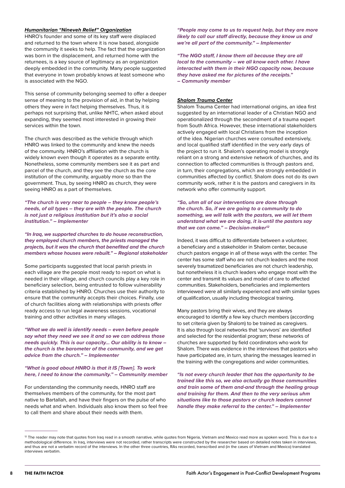#### *Humanitarian "Nineveh Relief" Organization*

HNRO's founder and some of its key staff were displaced and returned to the town where it is now based, alongside the community it seeks to help. The fact that the organization was born in the displacement, and returned home with the returnees, is a key source of legitimacy as an organization deeply embedded in the community. Many people suggested that everyone in town probably knows at least someone who is associated with the NGO.

This sense of community belonging seemed to offer a deeper sense of meaning to the provision of aid, in that by helping others they were in fact helping themselves. Thus, it is perhaps not surprising that, unlike NHTC, when asked about expanding, they seemed most interested in growing their services within the town.

The church was described as the vehicle through which HNRO was linked to the community and knew the needs of the community. HNRO's affiliation with the church is widely known even though it operates as a separate entity. Nonetheless, some community members see it as part and parcel of the church, and they see the church as the core institution of the community, arguably more so than the government. Thus, by seeing HNRO as church, they were seeing HNRO as a part of themselves.

*"The church is very near to people – they know people's needs, of all types – they are with the people. The church is not just a religious institution but it's also a social institution." – Implementer*

*"In Iraq, we supported churches to do house reconstruction, they employed church members, the priests managed the projects, but it was the church that benefited and the church members whose houses were rebuilt." – Regional stakeholder*

Some participants suggested that local parish priests in each village are the people most ready to report on what is needed in their village, and church councils play a key role in beneficiary selection, being entrusted to follow vulnerability criteria established by HNRO. Churches use their authority to ensure that the community accepts their choices. Finally, use of church facilities along with relationships with priests offer ready access to run legal awareness sessions, vocational training and other activities in many villages.

*"What we do well is identify needs – even before people say what they need we see it and so we can address those needs quickly. This is our capacity... Our ability is to know – the church is the barometer of the community, and we get advice from the church." – Implementer*

*"What is good about HNRO is that it IS [Town]. To work here, I need to know the community." – Community member*

For understanding the community needs, HNRO staff are themselves members of the community, for the most part native to Bartallah, and have their fingers on the pulse of who needs what and when. Individuals also know them so feel free to call them and share about their needs with them.

*"People may come to us to request help, but they are more likely to call our staff directly, because they know us and we're all part of the community." – Implementer*

*"The NGO staff, I know them all because they are all local to the community – we all know each other. I have interacted with them in their NGO capacity now, because they have asked me for pictures of the receipts." – Community member*

#### *Shalom Trauma Center*

Shalom Trauma Center had international origins, an idea first suggested by an international leader of a Christian NGO and operationalized through the secondment of a trauma expert from South Africa. However, these international stakeholders actively engaged with local Christians from the inception of the idea. Nigerian churches were consulted extensively, and local qualified staff identified in the very early days of the project to run it. Shalom's operating model is strongly reliant on a strong and extensive network of churches, and its connection to affected communities is through pastors and, in turn, their congregations, which are strongly embedded in communities affected by conflict. Shalom does not do its own community work, rather it is the pastors and caregivers in its network who offer community support.

*"So, uhm all of our interventions are done through the church. So, if we are going to a community to do something, we will talk with the pastors, we will let them understand what we are doing, it is-until the pastors say that we can come." – Decision-maker12*

Indeed, it was difficult to differentiate between a volunteer, a beneficiary and a stakeholder in Shalom center, because church pastors engage in all of these ways with the center. The center has some staff who are not church leaders and the most severely traumatized beneficiaries are not church leadership, but nonetheless it is church leaders who engage most with the center and transmit its values and model of care to affected communities. Stakeholders, beneficiaries and implementers interviewed were all similarly experienced and with similar types of qualification, usually including theological training.

Many pastors bring their wives, and they are always encouraged to identify a few key church members (according to set criteria given by Shalom) to be trained as caregivers. It is also through local networks that 'survivors' are identified and selected for the residential program; these networks of churches are supported by field coordinators who work for Shalom. There was evidence in the interviews that pastors who have participated are, in turn, sharing the messages learned in the training with the congregations and wider communities.

*"Is not every church leader that has the opportunity to be trained like this so, we also actually go those communities and train some of them and-and through the healing group and training for them. And then to the very serious uhm situations like to those pastors or church leaders cannot handle they make referral to the center." – Implementer*

<sup>&</sup>lt;sup>12</sup> The reader may note that quotes from Iraq read in a smooth narrative, while quotes from Nigeria, Vietnam and Mexico read more as spoken word. This is due to a methodological difference. In Iraq, interviews were not recorded, rather transcripts were constructed by the researcher based on detailed notes taken in interviews, and thus are not a verbatim record of the interviews. In the other three countries, RAs recorded, transcribed and (in the cases of Vietnam and Mexico) translated interviews verbatim.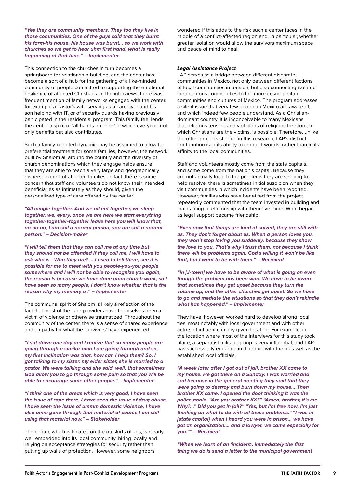*"Yes they are community members. They too they live in those communities. One of the guys said that they burnt his farm-his house, his house was burnt… so we work with churches so we get to hear uhm first hand, what is really happening at that time." – Implementer*

This connection to the churches in turn becomes a springboard for relationship-building, and the center has become a sort of a hub for the gathering of a like-minded community of people committed to supporting the emotional resilience of affected Christians. In the interviews, there was frequent mention of family networks engaged with the center, for example a pastor's wife serving as a caregiver and his son helping with IT, or of security guards having previously participated in the residential program. This family feel lends the center a spirit of 'all hands on deck' in which everyone not only benefits but also contributes.

Such a family-oriented dynamic may be assumed to allow for preferential treatment for some families, however, the network built by Shalom all around the country and the diversity of church denominations which they engage helps ensure that they are able to reach a very large and geographically disperse cohort of affected families. In fact, there is some concern that staff and volunteers do not know their intended beneficiaries as intimately as they should, given the personalized type of care offered by the center.

*"All mingle together. And we all eat together, we sleep together, we, every, once we are here we start everything together-together-together leave here you will know that, no-no-no, I am still a normal person, you are still a normal person." – Decision-maker*

*"I will tell them that they can call me at any time but they should not be offended if they call me, I will have to ask who is - Who they are? … I used to tell them, see it is possible for me to meet with you people-you-you people somewhere and I will not be able to recognize you again, the reason is because we have done umm church work, so I have seen so many people, I don't know whether that is the reason why my memory is." – Implementer*

The communal spirit of Shalom is likely a reflection of the fact that most of the care providers have themselves been a victim of violence or otherwise traumatized. Throughout the community of the center, there is a sense of shared experience and empathy for what the 'survivors' have experienced.

*"I sat down one day and I realize that so many people are going through a similar pain I am going through and so, my first inclination was that, how can I help them? So, I got talking to my sister, my elder sister, she is married to a pastor. We were talking and she said, well, that sometimes God allow you to go through some pain so that you will be able to encourage some other people." – Implementer*

*"I think one of the areas which is very good, I have seen the issue of rape there, I have seen the issue of drug abuse, I have seen the issue of ummm domestic violence, I have also umm gone through that material of course I am still using that material now." – Stakeholder*

The center, which is located on the outskirts of Jos, is clearly well embedded into its local community, hiring locally and relying on acceptance strategies for security rather than putting up walls of protection. However, some neighbors

wondered if this adds to the risk such a center faces in the middle of a conflict-affected region and, in particular, whether greater isolation would allow the survivors maximum space and peace of mind to heal.

#### *Legal Assistance Project*

LAP serves as a bridge between different disparate communities in Mexico, not only between different factions of local communities in tension, but also connecting isolated mountainous communities to the more cosmopolitan communities and cultures of Mexico. The program addresses a silent issue that very few people in Mexico are aware of, and which indeed few people understand. As a Christiandominant country, it is inconceivable to many Mexicans that religious tension and violations of religious freedom, to which Christians are the victims, is possible. Therefore, unlike the other projects studied in this research, LAP's distinct contribution is in its ability to connect worlds, rather than in its affinity to the local communities.

Staff and volunteers mostly come from the state capitals, and some come from the nation's capital. Because they are not actually local to the problems they are seeking to help resolve, there is sometimes initial suspicion when they visit communities in which incidents have been reported. However, families who have benefited from the project repeatedly commented that the team invested in building and maintaining a relationship with them over time. What began as legal support became friendship.

*"Even now that things are kind of solved, they are still with us. They don't forget about us. When a person loves you, they won't stop loving you suddenly, because they show the love to you. That's why I trust them, not because I think there will be problems again, God's willing it won't be like that, but I want to be with them." – Recipient*

*"In [J-town] we have to be aware of what is going on even though the problem has been won. We have to be aware that sometimes they get upset because they turn the volume up, and the other churches get upset. So we have to go and mediate the situations so that they don't rekindle what has happened." – Implementer*

They have, however, worked hard to develop strong local ties, most notably with local government and with other actors of influence in any given location. For example, in the location where most of the interviews for this study took place, a separatist militant group is very influential, and LAP has successfully engaged in dialogue with them as well as the established local officials.

*"A week later after I got out of jail, brother XX came to my house. He got there on a Sunday, I was worried and sad because in the general meeting they said that they were going to destroy and burn down my house... Then brother XX came, I opened the door thinking it was the police again. "Are you brother XX?" "Amen, brother, it's me. Why?…" Did you get in jail?" "Yes, but I'm free now. I'm just thinking on what to do with all these problems." "I was in [state capital] when I heard you were in prison… we have got an organization…, and a lawyer, we came especially for you."" – Recipient*

*"When we learn of an 'incident', immediately the first thing we do is send a letter to the municipal government*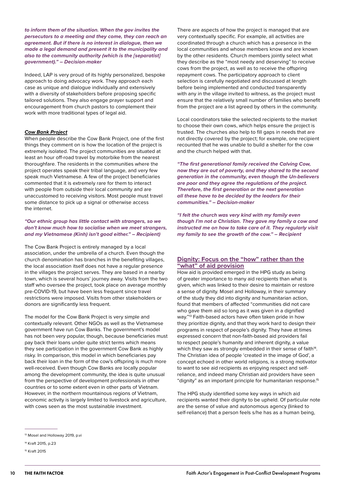<span id="page-9-0"></span>*to inform them of the situation. When the gov invites the persecutors to a meeting and they come, they can reach an agreement. But if there is no interest in dialogue, then we made a legal demand and present it to the municipality and also to the community authority (which is the [separatist] government)." – Decision-maker*

Indeed, LAP is very proud of its highly personalized, bespoke approach to doing advocacy work. They approach each case as unique and dialogue individually and extensively with a diversity of stakeholders before proposing specific tailored solutions. They also engage prayer support and encouragement from church pastors to complement their work with more traditional types of legal aid.

#### *Cow Bank Project*

When people describe the Cow Bank Project, one of the first things they comment on is how the location of the project is extremely isolated. The project communities are situated at least an hour off-road travel by motorbike from the nearest thoroughfare. The residents in the communities where the project operates speak their tribal language, and very few speak much Vietnamese. A few of the project beneficiaries commented that it is extremely rare for them to interact with people from outside their local community and are unaccustomed to receiving visitors. Most people must travel some distance to pick up a signal or otherwise access the internet.

*"Our ethnic group has little contact with strangers, so we don't know much how to socialise when we meet strangers, and my Vietnamese (Kinh) isn't good either." – Recipient)*

The Cow Bank Project is entirely managed by a local association, under the umbrella of a church. Even though the church denomination has branches in the benefiting villages, the local association itself does not have a regular presence in the villages the project serves. They are based in a nearby town, which is several hours' journey away. Visits from the two staff who oversee the project, took place on average monthly pre-COVID-19, but have been less frequent since travel restrictions were imposed. Visits from other stakeholders or donors are significantly less frequent.

The model for the Cow Bank Project is very simple and contextually relevant. Other NGOs as well as the Vietnamese government have run Cow Banks. The government's model has not been very popular, though, because beneficiaries must pay back their loans under quite strict terms which means they see participation in the government Cow Bank as highly risky. In comparison, this model in which beneficiaries pay back their loan in the form of the cow's offspring is much more well-received. Even though Cow Banks are locally popular among the development community, the idea is quite unusual from the perspective of development professionals in other countries or to some extent even in other parts of Vietnam. However, in the northern mountainous regions of Vietnam, economic activity is largely limited to livestock and agriculture, with cows seen as the most sustainable investment.

There are aspects of how the project is managed that are very contextually specific. For example, all activities are coordinated through a church which has a presence in the local communities and whose members know and are known by the other residents. Church members jointly select what they describe as the "most needy and deserving" to receive cows from the project, as well as to receive the offspring repayment cows. The participatory approach to client selection is carefully negotiated and discussed at length before being implemented and conducted transparently with any in the village invited to witness, as the project must ensure that the relatively small number of families who benefit from the project are a list agreed by others in the community.

Local coordinators take the selected recipients to the market to choose their own cows, which helps ensure the project is trusted. The churches also help to fill gaps in needs that are not directly covered by the project; for example, one recipient recounted that he was unable to build a shelter for the cow and the church helped with that.

*"The first generational family received the Calving Cow, now they are out of poverty, and they shared to the second generation in the community, even though the Un-believers are poor and they agree the regulations of the project. Therefore, the first generation or the next generation all these have to be decided by the leaders for their communities." – Decision-maker*

*"I felt the church was very kind with my family even though I'm not a Christian. They gave my family a cow and instructed me on how to take care of it. They regularly visit my family to see the growth of the cow." – Recipient*

### **Dignity: Focus on the "how" rather than the "what" of aid provision**

How aid is provided emerged in the HPG study as being of greater importance to many aid recipients than what is given, which was linked to their desire to maintain or restore a sense of dignity. Mosel and Holloway, in their summary of the study they did into dignity and humanitarian action, found that members of affected "communities did not care who gave them aid so long as it was given in a dignified way."13 Faith-based actors have often taken pride in how they prioritize dignity, and that they work hard to design their programs in respect of people's dignity. They have at times expressed concern that non-faith-based aid providers fail to respect people's humanity and inherent dignity, a value which they saw as strongly embedded in their sense of faith<sup>14</sup>. The Christian idea of people 'created in the image of God', a concept echoed in other world religions, is a strong motivator to want to see aid recipients as enjoying respect and selfreliance, and indeed many Christian aid providers have seen "dignity" as an important principle for humanitarian response.15

The HPG study identified some key ways in which aid recipients wanted their dignity to be upheld. Of particular note are the sense of value and autonomous agency (linked to self-reliance) that a person feels s/he has as a human being,

<sup>&</sup>lt;sup>13</sup> Mosel and Holloway 2019, p.vi

<sup>14</sup> Kraft 2015, p.23

<sup>15</sup> Kraft 2015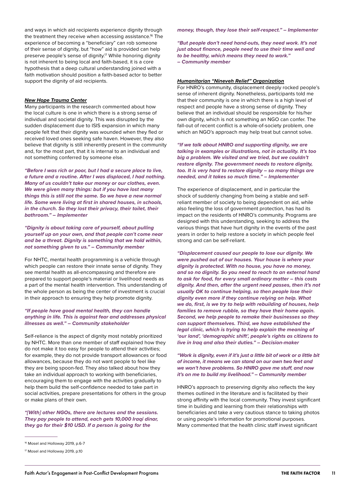#### *New Hope Trauma Center*

Many participants in the research commented about how the local culture is one in which there is a strong sense of individual and societal dignity. This was disrupted by the sudden displacement due to ISIS expansion in which many people felt that their dignity was wounded when they fled or received loved ones seeking safe haven. However, they also believe that dignity is still inherently present in the community and, for the most part, that it is internal to an individual and not something conferred by someone else.

*"Before I was rich or poor, but I had a secure place to live, a future and a routine. After I was displaced, I had nothing. Many of us couldn't take our money or our clothes, even. We were given many things: but if you have lost many things this is still not the same. So we have a new normal life. Some were living at first in shared houses, in schools, in the church. So they lost their privacy, their toilet, their bathroom." – Implementer*

*"Dignity is about taking care of yourself, about pulling yourself up on your own, and that people can't come near and be a threat. Dignity is something that we hold within, not something given to us." – Community member*

For NHTC, mental health programming is a vehicle through which people can restore their innate sense of dignity. They see mental health as all-encompassing and therefore are prepared to support people's material or livelihood needs as a part of the mental health intervention. This understanding of the whole person as being the center of investment is crucial in their approach to ensuring they help promote dignity.

#### *"If people have good mental health, they can handle anything in life. This is against fear and addresses physical illnesses as well." – Community stakeholder*

Self-reliance is the aspect of dignity most notably prioritized by NHTC. More than one member of staff explained how they do not make it too easy for people to attend their activities; for example, they do not provide transport allowances or food allowances, because they do not want people to feel like they are being spoon-fed. They also talked about how they take an individual approach to working with beneficiaries, encouraging them to engage with the activities gradually to help them build the self-confidence needed to take part in social activities, prepare presentations for others in the group or make plans of their own.

*"[With] other NGOs, there are lectures and the sessions. They pay people to attend, each gets 10,000 Iraqi dinar, they go for their \$10 USD. If a person is going for the* 

*money, though, they lose their self-respect." – Implementer*

*"But people don't need hand-outs, they need work. It's not just about finance, people need to use their time well and to be healthy, which means they need to work." – Community member*

#### *Humanitarian "Nineveh Relief" Organization*

For HNRO's community, displacement deeply rocked people's sense of inherent dignity. Nonetheless, participants told me that their community is one in which there is a high level of respect and people have a strong sense of dignity. They believe that an individual should be responsible for his/her own dignity, which is not something an NGO can confer. The fall-out of recent conflict is a whole-of-society problem, one which an NGO's approach may help treat but cannot solve.

*"If we talk about HNRO and supporting dignity, we are talking in examples or illustrations, not in actuality. It's too big a problem. We visited and we tried, but we couldn't restore dignity. The government needs to restore dignity, too. It is very hard to restore dignity – so many things are needed, and it takes so much time." – Implementer*

The experience of displacement, and in particular the shock of suddenly changing from being a stable and selfreliant member of society to being dependent on aid, while also feeling the loss of government protection, has had its impact on the residents of HNRO's community. Programs are designed with this understanding, seeking to address the various things that have hurt dignity in the events of the past years in order to help restore a society in which people feel strong and can be self-reliant.

*"Displacement caused our people to lose our dignity. We were pushed out of our houses. Your house is where your dignity is protected. With no house, you have no money, and so no dignity. So you need to reach to an external hand to ask for food, for every small ordinary matter – this costs dignity. And then, after the urgent need passes, then it's not usually OK to continue helping, so then people lose their dignity even more if they continue relying on help. What we do, first, is we try to help with rebuilding of houses, help families to remove rubble, so they have their home again. Second, we help people to remake their businesses so they can support themselves. Third, we have established the legal clinic, which is trying to help explain the meaning of 'our land', 'demographic shift', people's rights as citizens to live in Iraq and also their duties." – Decision-maker*

*"Work is dignity, even if it's just a little bit of work or a little bit of income, it means we can stand on our own two feet and we won't have problems. So HNRO gave me stuff, and now it's on me to build my livelihood." – Community member*

HNRO's approach to preserving dignity also reflects the key themes outlined in the literature and is facilitated by their strong affinity with the local community. They invest significant time in building and learning from their relationships with beneficiaries and take a very cautious stance to taking photos or using people's information for promotional purposes. Many commented that the health clinic staff invest significant

<sup>&</sup>lt;sup>16</sup> Mosel and Holloway 2019, p.6-7

<sup>17</sup> Mosel and Holloway 2019, p.10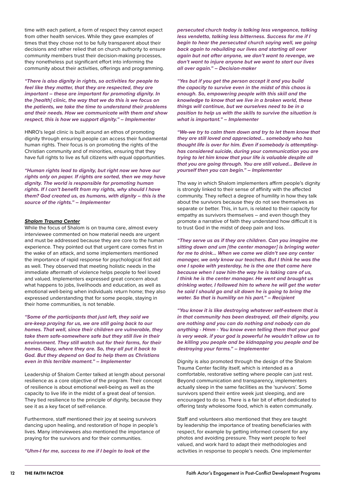time with each patient, a form of respect they cannot expect from other health services. While they gave examples of times that they chose not to be fully transparent about their decisions and rather relied that on church authority to ensure community members trust their decision-making processes, they nonetheless put significant effort into informing the community about their activities, offerings and programming.

*"There is also dignity in rights, so activities for people to feel like they matter, that they are respected, they are important – these are important for promoting dignity. In the [health] clinic, the way that we do this is we focus on the patients, we take the time to understand their problems and their needs. How we communicate with them and show respect, this is how we support dignity." – Implementer*

HNRO's legal clinic is built around an ethos of promoting dignity through ensuring people can access their fundamental human rights. Their focus is on promoting the rights of the Christian community and of minorities, ensuring that they have full rights to live as full citizens with equal opportunities.

*"Human rights lead to dignity, but right now we have our rights only on paper. If rights are sorted, then we may have dignity. The world is responsible for promoting human rights. If I can't benefit from my rights, why should I have them? God created us, as humans, with dignity – this is the source of the rights." – Implementer*

#### *Shalom Trauma Center*

While the focus of Shalom is on trauma care, almost every interviewee commented on how material needs are urgent and must be addressed because they are core to the human experience. They pointed out that urgent care comes first in the wake of an attack, and some implementers mentioned the importance of rapid response for psychological first aid as well. They observed that meeting holistic needs in the immediate aftermath of violence helps people to feel loved and valued. Implementers expressed great concern about what happens to jobs, livelihoods and education, as well as emotional well-being when individuals return home; they also expressed understanding that for some people, staying in their home communities, is not tenable.

*"Some of the participants that just left, they said we are-keep praying for us, we are still going back to our homes. That well, since their children are vulnerable, they take them safe-somewhere safe but they still live in their environment. They still watch out for their farms, for their homes. Okay, where they are. So, they all put it back to God. But they depend on God to help them as Christians even in this terrible moment." – Implementer*

Leadership of Shalom Center talked at length about personal resilience as a core objective of the program. Their concept of resilience is about emotional well-being as well as the capacity to live life in the midst of a great deal of tension. They tied resilience to the principle of dignity, because they see it as a key facet of self-reliance.

Furthermore, staff mentioned their joy at seeing survivors dancing upon healing, and restoration of hope in people's lives. Many interviewees also mentioned the importance of praying for the survivors and for their communities.

*"Uhm-I for me, success to me if I begin to look at the* 

*persecuted church today is talking less vengeance, talking less vendetta, talking less bitterness. Success for me if I begin to hear the persecuted church saying well, we going back again to rebuilding our lives and starting all over again but not after anyone, we don't want to revenge, we don't want to injure anyone but we want to start our lives all over again." – Decision-maker*

*"Yes but if you get the person accept it and you build the capacity to survive even in the midst of this chaos is enough. So, empowering people with this skill and the knowledge to know that we live in a broken world, these things will continue, but we ourselves need to be in a position to help us with the skills to survive the situation is what is important." – Implementer*

*"We-we try to calm them down and try to let them know that they are still loved and appreciated… somebody who has thought life is over for him. Even if somebody is attemptinghas considered suicide, during your communication you are trying to let him know that your life is valuable despite all that you are going through. You are still valued… Believe in yourself then you can begin." – Implementer*

The way in which Shalom implementers affirm people's dignity is strongly linked to their sense of affinity with the affected community. They reflect a degree of humility in how they talk about the survivors because they do not see themselves as separate or better. This, in turn, is related to their capacity for empathy as survivors themselves – and even though they promote a narrative of faith they understand how difficult it is to trust God in the midst of deep pain and loss.

*"They serve us as if they are children. Can you imagine me sitting down and um [the center manager] is bringing water for me to drink… When we came we didn't see any center manager, we only know our teachers. But I think he was the one I spoke with yesterday, he is the one that came here because when I saw him-the way he is taking care of us, I think he is the center manager. He went and brought us drinking water, I followed him to where he will get the water he said I should go and sit down he is going to bring the water. So that is humility on his part." – Recipient*

*"You know it is like destroying whatever self-esteem that is in that community has been destroyed, all their dignity, you are nothing and you can do nothing and nobody can do anything - Hmm - You know even telling them that your god is very weak. if your god is powerful he wouldn't allow us to be killing you people and be kidnapping you people and be destroying your farms." – Implementer*

Dignity is also promoted through the design of the Shalom Trauma Center facility itself, which is intended as a comfortable, restorative setting where people can just rest. Beyond communication and transparency, implementers actually sleep in the same facilities as the 'survivors'. Some survivors spend their entire week just sleeping, and are encouraged to do so. There is a fair bit of effort dedicated to offering tasty wholesome food, which is eaten communally.

Staff and volunteers also mentioned that they are taught by leadership the importance of treating beneficiaries with respect, for example by getting informed consent for any photos and avoiding pressure. They want people to feel valued, and work hard to adapt their methodologies and activities in response to people's needs. One implementer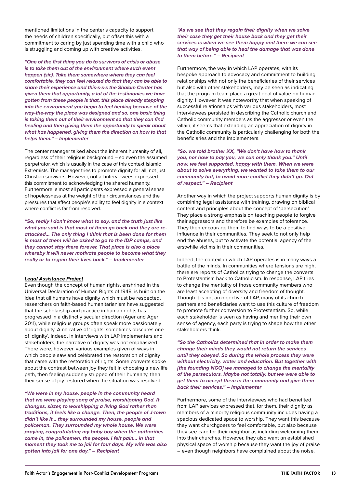mentioned limitations in the center's capacity to support the needs of children specifically, but offset this with a commitment to caring by just spending time with a child who is struggling and coming up with creative activities.

*"One of the first thing you do to survivors of crisis or abuse is to take them out of the environment where such event happen (sic). Take them somewhere where they can feel comfortable, they can feel relaxed do that they can be able to share their experience and this-s-s-s the Shalom Center has given them that opportunity, a lot of the testimonies we have gotten from these people is that, this place already stepping into the environment you begin to feel healing because of the way-the-way the place was designed and so, one basic thing is taking them out of their environment so that they can find healing and then giving them the opportunity to speak about what has happened, giving them the direction on how to that helps them." – Implementer*

The center manager talked about the inherent humanity of all, regardless of their religious background – so even the assumed perpetrator, which is usually in the case of this context Islamic Extremists. The manager tries to promote dignity for all, not just Christian survivors. However, not all interviewees expressed this commitment to acknowledging the shared humanity. Furthermore, almost all participants expressed a general sense of hopelessness at the weight of their circumstances and the pressures that affect people's ability to feel dignity in a context where conflict is far from resolved.

*"So, really I don't know what to say, and the truth just like what you said is that most of them go back and they are reattacked… The only thing I think that is been done for them is most of them will be asked to go to the IDP camps, and they cannot stay there forever. That place is also a place whereby it will never motivate people to become what they really or to regain their lives back." – Implementer*

#### *Legal Assistance Project*

Even though the concept of human rights, enshrined in the Universal Declaration of Human Rights of 1948, is built on the idea that all humans have dignity which must be respected, researchers on faith-based humanitarianism have suggested that the scholarship and practice in human rights has progressed in a distinctly secular direction (Ager and Ager 2011), while religious groups often speak more passionately about dignity. A narrative of 'rights' sometimes obscures one of 'dignity'. Indeed, in interviews with LAP implementers and stakeholders, the narrative of dignity was not emphasized. There were, however, various examples given of ways in which people saw and celebrated the restoration of dignity that came with the restoration of rights. Some converts spoke about the contrast between joy they felt in choosing a new life path, then feeling suddenly stripped of their humanity, then their sense of joy restored when the situation was resolved.

*"We were in my house, people in the community heard that we were playing song of praise, worshipping God. It changes, sister, to worshipping a living God rather than traditions, it feels like a change. Then, the people of J-town didn't like it… they surrounded my house, people and policeman. They surrounded my whole house. We were praying, congratulating my baby boy when the authorities came in, the policemen, the people. I felt pain… in that moment they took me to jail for four days. My wife was also gotten into jail for one day." – Recipient*

*"As we see that they regain their dignity when we solve their case they get their house back and they get their services is when we see them happy and there we can see that way of being able to heal the damage that was done to them before." – Recipient*

Furthermore, the way in which LAP operates, with its bespoke approach to advocacy and commitment to building relationships with not only the beneficiaries of their services but also with other stakeholders, may be seen as indicating that the program team place a great deal of value on human dignity. However, it was noteworthy that when speaking of successful relationships with various stakeholders, most interviewees persisted in describing the Catholic church and Catholic community members as the aggressor or even the villain; it seems that extending an appreciation of dignity in the Catholic community is particularly challenging for both the beneficiaries and the implementers.

*"So, we told brother XX, "We don't have how to thank you, nor how to pay you, we can only thank you." Until now, we feel supported, happy with them. When we were about to solve everything, we wanted to take them to our community but, to avoid more conflict they didn't go. Out of respect." – Recipient*

Another way in which the project supports human dignity is by combining legal assistance with training, drawing on biblical content and principles about the concept of 'persecution'. They place a strong emphasis on teaching people to forgive their aggressors and therefore be examples of tolerance. They then encourage them to find ways to be a positive influence in their communities. They seek to not only help end the abuses, but to activate the potential agency of the erstwhile victims in their communities.

Indeed, the context in which LAP operates is in many ways a battle of the minds. In communities where tensions are high, there are reports of Catholics trying to change the converts to Protestantism back to Catholicism. In response, LAP tries to change the mentality of those community members who are least accepting of diversity and freedom of thought. Though it is not an objective of LAP, many of its church partners and beneficiaries want to use this culture of freedom to promote further conversion to Protestantism. So, while each stakeholder is seen as having and meriting their own sense of agency, each party is trying to shape how the other stakeholders think.

*"So the Catholics determined that in order to make them change their minds they would not return the services until they obeyed. So during the whole process they were without electricity, water and education. But together with [the founding NGO] we managed to change the mentality of the persecutors. Maybe not totally, but we were able to get them to accept them in the community and give them back their services." – Implementer*

Furthermore, some of the interviewees who had benefited from LAP services expressed that, for them, their dignity as members of a minority religious community includes having a spacious dedicated space to worship. They want this because they want churchgoers to feel comfortable, but also because they see care for their neighbor as including welcoming them into their churches. However, they also want an established physical space of worship because they want the joy of praise – even though neighbors have complained about the noise.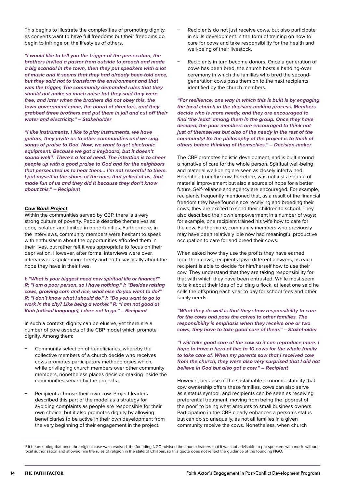This begins to illustrate the complexities of promoting dignity, as converts want to have full freedoms but their freedoms do begin to infringe on the lifestyles of others.

*"I would like to tell you the trigger of the persecution, the brothers invited a pastor from outside to preach and made a big scandal in the town, then they put speakers with a lot of music and it seems that they had already been told once, but they said not to transform the environment and that was the trigger, The community demanded rules that they should not make so much noise but they said they were free, and later when the brothers did not obey this, the town government came, the board of directors, and they grabbed three brothers and put them in jail and cut off their water and electricity." – Stakeholder*

*"I like instruments, I like to play instruments, we have guitars, they invite us to other communities and we sing songs of praise to God. Now, we want to get electronic equipment. Because we got a keyboard, but it doesn't sound well18. There's a lot of need. The intention is to cheer people up with a good praise to God and for the neighbors that persecuted us to hear them… I'm not resentful to them. I put myself in the shoes of the ones that yelled at us, that made fun of us and they did it because they don't know about this." – Recipient*

#### *Cow Bank Project*

Within the communities served by CBP, there is a very strong culture of poverty. People describe themselves as poor, isolated and limited in opportunities. Furthermore, in the interviews, community members were hesitant to speak with enthusiasm about the opportunities afforded them in their lives, but rather felt it was appropriate to focus on their deprivation. However, after formal interviews were over, interviewees spoke more freely and enthusiastically about the hope they have in their lives.

*I: "What is your biggest need now spiritual life or finance?" R: "I am a poor person, so I have nothing." I: "Besides raising cows, growing corn and rice, what else do you want to do?" R: "I don't know what I should do." I: "Do you want to go to work in the city? Like being a worker." R: "I am not good at Kinh (official language), I dare not to go." – Recipient*

In such a context, dignity can be elusive, yet there are a number of core aspects of the CBP model which promote dignity. Among them:

- Community selection of beneficiaries, whereby the collective members of a church decide who receives cows promotes participatory methodologies which, while privileging church members over other community members, nonetheless places decision-making inside the communities served by the projects.
- Recipients choose their own cow. Project leaders described this part of the model as a strategy for avoiding complaints as people are responsible for their own choice, but it also promotes dignity by allowing beneficiaries to be active in their own development from the very beginning of their engagement in the project.
- Recipients do not just receive cows, but also participate in skills development in the form of training on how to care for cows and take responsibility for the health and well-being of their livestock.
- Recipients in turn become donors. Once a generation of cows has been bred, the church hosts a handing-over ceremony in which the families who bred the secondgeneration cows pass them on to the next recipients identified by the church members.

*"For resilience, one way in which this is built is by engaging the local church in the decision-making process. Members decide who is more needy, and they are encouraged to find 'the least' among them in the group. Once they have decided, the poor members are encouraged to think not just of themselves but also of the needy in the rest of the community! So the philosophy of the project is to think of others before thinking of themselves." – Decision-maker*

The CBP promotes holistic development, and is built around a narrative of care for the whole person. Spiritual well-being and material well-being are seen as closely intertwined. Benefiting from the cow, therefore, was not just a source of material improvement but also a source of hope for a better future. Self-reliance and agency are encouraged. For example, recipients frequently mentioned that, as a result of the financial freedom they have found since receiving and breeding their cows, they are excited to send their children to school. They also described their own empowerment in a number of ways; for example, one recipient trained his wife how to care for the cow. Furthermore, community members who previously may have been relatively idle now had meaningful productive occupation to care for and breed their cows.

When asked how they use the profits they have earned from their cows, recipients gave different answers, as each recipient is able to decide for him/herself how to use their cow. They understand that they are taking responsibility for that with which they have been entrusted. While most seem to talk about their idea of building a flock, at least one said he sells the offspring each year to pay for school fees and other family needs.

*"What they do well is that they show responsibility to care for the cows and pass the calves to other families. The responsibility is emphasis when they receive one or two cows, they have to take good care of them." – Stakeholder*

*"I will take good care of the cow so it can reproduce more. I hope to have a herd of five to 10 cows for the whole family to take care of. When my parents saw that I received cow from the church, they were also very surprised that I did not believe in God but also got a cow." – Recipient*

However, because of the sustainable economic stability that cow ownership offers these families, cows can also serve as a status symbol, and recipients can be seen as receiving preferential treatment, moving from being the 'poorest of the poor' to being what amounts to small business owners. Participation in the CBP clearly enhances a person's status but can do so unequally, as not all families in a given community receive the cows. Nonetheless, when church

<sup>18</sup> It bears noting that once the original case was resolved, the founding NGO advised the church leaders that it was not advisable to put speakers with music without local authorization and showed him the rules of religion in the state of Chiapas, so this quote does not reflect the guidance of the founding NGO.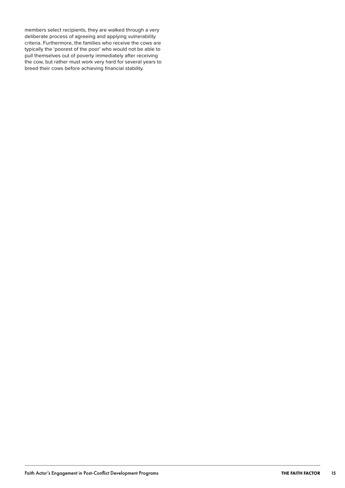members select recipients, they are walked through a very deliberate process of agreeing and applying vulnerability criteria. Furthermore, the families who receive the cows are typically the 'poorest of the poor' who would not be able to pull themselves out of poverty immediately after receiving the cow, but rather must work very hard for several years to breed their cows before achieving financial stability.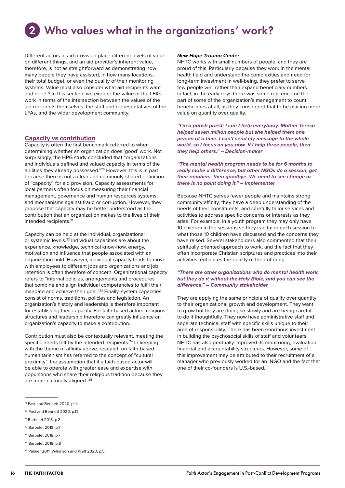# <span id="page-15-0"></span>Who values what in the organizations' work? 2

Different actors in aid provision place different levels of value on different things, and an aid provider's inherent value, therefore, is not as straightforward as demonstrating how many people they have assisted, in how many locations, their total budget, or even the quality of their monitoring systems. Value must also consider what aid recipients want and need.<sup>19</sup> In this section, we explore the value of the LFAs' work in terms of the intersection between the values of the aid recipients themselves, the staff and representatives of the LFAs, and the wider development community.

#### **Capacity vs contribution**

Capacity is often the first benchmark referred to when determining whether an organization does 'good' work. Not surprisingly, the HPG study concluded that "organizations and individuals defined and valued capacity in terms of the abilities they already possessed."20 However, this is in part because there is not a clear and commonly-shared definition of "capacity" for aid provision. Capacity assessments for local partners often focus on measuring their financial management, governance and human resources systems, and mechanisms against fraud or corruption. However, they propose that capacity may be better understood as the contribution that an organization makes to the lives of their intended recipients.21

Capacity can be held at the individual, organizational or systemic levels.22 Individual capacities are about the experience, knowledge, technical know-how, energy, motivation and influence that people associated with an organization hold. However, individual capacity tends to move with employees to different jobs and organizations and job retention is often therefore of concern. Organizational capacity refers to "internal policies, arrangements and procedures that combine and align individual competencies to fulfil their mandate and achieve their goal."23 Finally, system capacities consist of norms, traditions, policies and legislation. An organization's history and leadership is therefore important for establishing their capacity. For faith-based actors, religious structures and leadership therefore can greatly influence an organization's capacity to make a contribution.

Contribution must also be contextually relevant, meeting the specific needs felt by the intended recipients.<sup>24</sup> In keeping with the theme of affinity above, research on faith-based humanitarianism has referred to the concept of "cultural proximity", the assumption that if a faith-based actor will be able to operate with greater ease and expertise with populations who share their religious tradition because they are more culturally aligned. 25

#### *New Hope Trauma Center*

NHTC works with small numbers of people, and they are proud of this. Particularly because they work in the mental health field and understand the complexities and need for long-term investment in well-being, they prefer to serve few people well rather than expand beneficiary numbers. In fact, in the early days there was some reticence on the part of some of the organization's management to count beneficiaries at all, as they considered that to be placing more value on quantity over quality.

*"I'm a parish priest; I can't help everybody. Mother Teresa helped seven million people but she helped them one person at a time. I can't send my message to the whole world, so I focus on you now. If I help three people, then they help others." – Decision-maker*

*"The mental health program needs to be for 6 months to really make a difference, but other NGOs do a session, get their numbers, then goodbye. We need to see change or there is no point doing it." – Implementer*

Because NHTC serves fewer people and maintains strong community affinity, they have a deep understanding of the needs of their constituents, and carefully tailor services and activities to address specific concerns or interests as they arise. For example, in a youth program they may only have 10 children in the sessions so they can tailor each session to what those 10 children have discussed and the concerns they have raised. Several stakeholders also commented that their spiritually oriented approach to work, and the fact that they often incorporate Christian scriptures and practices into their activities, enhances the quality of their offering.

#### *"There are other organizations who do mental health work, but they do it without the Holy Bible, and you can see the difference." – Community stakeholder*

They are applying the same principle of quality over quantity to their organizational growth and development. They want to grow but they are doing so slowly and are being careful to do it thoughtfully. They now have administrative staff and separate technical staff with specific skills unique to their area of responsibility. There has been enormous investment in building the psychosocial skills of staff and volunteers. NHTC has also gradually improved its monitoring, evaluation, financial and accountability structures. However, some of this improvement may be attributed to their recruitment of a manager who previously worked for an INGO and the fact that one of their co-founders is U.S.-based.

<sup>19</sup> Fast and Bennett 2020, p.14

<sup>20</sup> Fast and Bennett 2020, p.12

<sup>21</sup> Barbelet 2018, p.8

<sup>22</sup> Barbelet 2018, p.7

<sup>23</sup> Barbelet 2018, p.7

<sup>24</sup> Barbelet 2018, p.8

<sup>&</sup>lt;sup>25</sup> Palmer 2011; Wilkinson and Kraft 2020, p.5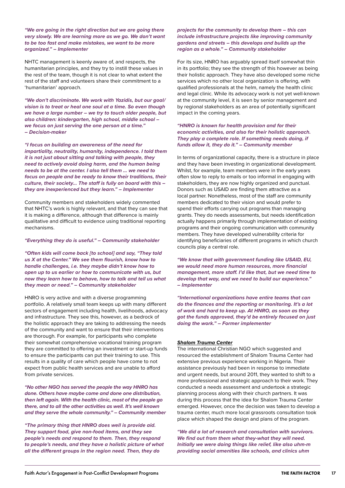*"We are going in the right direction but we are going there very slowly. We are learning more as we go. We don't want to be too fast and make mistakes, we want to be more organized." – Implementer*

NHTC management is keenly aware of, and respects, the humanitarian principles, and they try to instill these values in the rest of the team, though it is not clear to what extent the rest of the staff and volunteers share their commitment to a 'humanitarian' approach.

*"We don't discriminate. We work with Yazidis, but our goal/ vision is to treat or heal one soul at a time. So even though we have a large number – we try to touch older people, but also children: kindergarten, high school, middle school – we focus on just serving the one person at a time." – Decision-maker*

*"I focus on building an awareness of the need for impartiality, neutrality, humanity, independence. I told them it is not just about sitting and talking with people, they need to actively avoid doing harm, and the human being needs to be at the center. I also tell them … we need to focus on people and be ready to know their traditions, their culture, their society... The staff is fully on board with this – they are inexperienced but they learn." – Implementer*

Community members and stakeholders widely commented that NHTC's work is highly relevant, and that they can see that it is making a difference, although that difference is mainly qualitative and difficult to evidence using traditional reporting mechanisms.

#### *"Everything they do is useful." – Community stakeholder*

*"Often kids will come back [to school] and say, "They told us X at the Center." We see them flourish, know how to handle challenges, i.e. they maybe didn't know how to open up to us earlier or how to communicate with us, but now they learn how to behave, how to talk and tell us what they mean or need." – Community stakeholder*

HNRO is very active and with a diverse programming portfolio. A relatively small team keeps up with many different sectors of engagement including health, livelihoods, advocacy and infrastructure. They see this, however, as a bedrock of the holistic approach they are taking to addressing the needs of the community and want to ensure that their interventions are thorough. For example, for participants who complete their somewhat comprehensive vocational training program they are committed to offering an investment or start-up funds to ensure the participants can put their training to use. This results in a quality of care which people have come to not expect from public health services and are unable to afford from private services.

*"No other NGO has served the people the way HNRO has done. Others have maybe come and done one distribution, then left again. With the health clinic, most of the people go there, and to all the other activities as well. It's well known and they serve the whole community." – Community member*

*"The primary thing that HNRO does well is provide aid. They support food, give non-food items, and they see people's needs and respond to them. Then, they respond to people's needs, and they have a holistic picture of what all the different groups in the region need. Then, they do* 

*projects for the community to develop them – this can include infrastructure projects like improving community gardens and streets – this develops and builds up the region as a whole." – Community stakeholder*

For its size, HNRO has arguably spread itself somewhat thin in its portfolio; they see the strength of this however as being their holistic approach. They have also developed some niche services which no other local organization is offering, with qualified professionals at the helm, namely the health clinic and legal clinic. While its advocacy work is not yet well-known at the community level, it is seen by senior management and by regional stakeholders as an area of potentially significant impact in the coming years.

#### *"HNRO is known for health provision and for their economic activities, and also for their holistic approach. They play a complete role. If something needs doing, if funds allow it, they do it." – Community member*

In terms of organizational capacity, there is a structure in place and they have been investing in organizational development. Whilst, for example, team members were in the early years often slow to reply to emails or too informal in engaging with stakeholders, they are now highly organized and punctual. Donors such as USAID are finding them attractive as a local partner. Nonetheless, most of the staff are community members dedicated to their vision and would prefer to spend their efforts carrying out programs than managing grants. They do needs assessments, but needs identification actually happens primarily through implementation of existing programs and their ongoing communication with community members. They have developed vulnerability criteria for identifying beneficiaries of different programs in which church councils play a central role.

*"We know that with government funding like USAID, EU, we would need more human resources, more financial management, more staff. I'd like that, but we need time to develop that way, and we need to build our experience." – Implementer*

*"International organizations have entire teams that can do the finances and the reporting or monitoring. It's a lot of work and hard to keep up. At HNRO, as soon as they got the funds approved, they'd be entirely focused on just doing the work." – Former implementer*

#### *Shalom Trauma Center*

The international Christian NGO which suggested and resourced the establishment of Shalom Trauma Center had extensive previous experience working in Nigeria. Their assistance previously had been in response to immediate and urgent needs, but around 2011, they wanted to shift to a more professional and strategic approach to their work. They conducted a needs assessment and undertook a strategic planning process along with their church partners. It was during this process that the idea for Shalom Trauma Center emerged. However, once the decision was taken to develop a trauma center, much more local grassroots consultation took place which shaped the design and plans of the program.

*"We did a lot of research and consultation with survivors. We find out from them what they-what they will need. Initially we were doing things like relief, like also uhm-m providing social amenities like schools, and clinics uhm*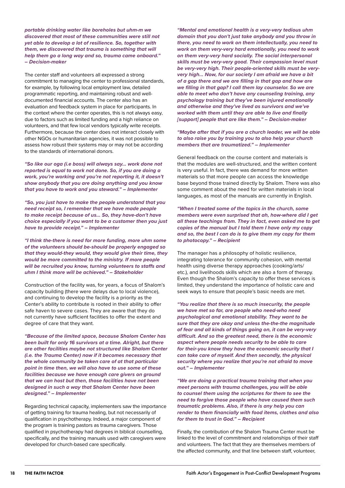*portable drinking water like boreholes but uhm-m we discovered that most of these communities were still not yet able to develop a lot of resilience. So, together with them, we discovered that trauma is something that will help them go a long way and so, trauma came onboard." – Decision-maker*

The center staff and volunteers all expressed a strong commitment to managing the center to professional standards, for example, by following local employment law, detailed programmatic reporting, and maintaining robust and welldocumented financial accounts. The center also has an evaluation and feedback system in place for participants. In the context where the center operates, this is not always easy, due to factors such as limited funding and a high reliance on volunteers, and that few local vendors typically write receipts. Furthermore, because the center does not interact closely with other NGOs or humanitarian agencies, it was not possible to assess how robust their systems may or may not be according to the standards of international donors.

*"So like our oga (i.e boss) will always say… work done not reported is equal to work not done. So, if you are doing a work, you're working and you're not reporting it, it doesn't show anybody that you are doing anything and you know that you have to work and you steward." – Implementer*

*"So, you just have to make the people understand that you need receipt so, I remember that we have made people to make receipt because of us… So, they have-don't have choice especially if you want to be a customer then you just have to provide receipt." – Implementer*

*"I think the-there is need for more funding, more uhm some of the volunteers should be-should be properly engaged so that they would-they would, they would give their time, they would be more committed to the ministry. If more people will be recruited you know, turning volunteers to staffs and uhm I think more will be achieved." – Stakeholder*

Construction of the facility was, for years, a focus of Shalom's capacity building (there were delays due to local violence), and continuing to develop the facility is a priority as the Center's ability to contribute is rooted in their ability to offer safe haven to severe cases. They are aware that they do not currently have sufficient facilities to offer the extent and degree of care that they want.

*"Because of the limited space, because Shalom Center has been built for only 16 survivors at a time. Alright, but there are other facilities maybe not structured like Shalom Center (i.e. the Trauma Center) now if it becomes necessary that the whole community be taken care of at that particular point in time then, we will also have to use some of these facilities because we have enough care givers on ground that we can host but then, those facilities have not been designed in such a way that Shalom Center have been designed." – Implementer*

Regarding technical capacity, implementers saw the importance of getting training for trauma healing, but not necessarily of qualification in psychotherapy. Indeed, a major component of the program is training pastors as trauma caregivers. Those qualified in psychotherapy had degrees in biblical counselling, specifically, and the training manuals used with caregivers were developed for church-based care specifically.

*"Mental and emotional health is a very-very tedious uhm domain that you don't just take anybody and you throw in there, you need to work on them intellectually, you need to work on them very-very hard emotionally, you need to work on them very-very hard socially. The social interpersonal skills must be very-very good. Their compassion level must be very-very high. Their people-oriented skills must be veryvery high... Now, for our society I am afraid we have a bit of a gap there and we are filling in that gap and how are we filling in that gap? I call them lay counselor. So we are able to meet who don't have any counseling training, any psychology training but they've been injured emotionally and otherwise and they've lived as survivors and we've worked with them until they are able to live and finally [support] people that are like them." – Decision-maker*

#### *"Maybe after that if you are a church leader, we will be able to also raise you by training you to also help your church members that are traumatized." – Implementer*

General feedback on the course content and materials is that the modules are well-structured, and the written content is very useful. In fact, there was demand for more written materials so that more people can access the knowledge base beyond those trained directly by Shalom. There was also some comment about the need for written materials in local languages, as most of the manuals are currently in English.

*"When I treated some of the topics in the church, some members were even surprised that ah, how-where did I get all these teachings from. They in fact, even asked me to get copies of the manual but I told them I have only my copy and so, the best I can do is to give them my copy for them to photocopy." – Recipient*

The manager has a philosophy of holistic resilience, integrating tolerance for community cohesion, with mental health using diverse therapy approaches (cooking/arts/ etc.), and livelihoods skills which are also a form of therapy. Even though the Shalom's capacity to offer these services is limited, they understand the importance of holistic care and seek ways to ensure that people's basic needs are met.

*"You realize that there is so much insecurity, the people we have met so far, are people who need-who need psychological and emotional stability. They want to be sure that they are okay and unless the-the-the magnitude of fear and all kinds of things going on, it can be very-very difficult. And so the greatest need, there is the economic aspect where people needs security to be able to care for their-you know they have the economic security that I can take care of myself. And then secondly, the physical security where you realize that you're not afraid to move out." – Implementer*

*"We are doing a practical trauma training that when you meet persons with trauma challenges, you will be able to counsel them using the scriptures for them to see the need to forgive those people who have caused them such traumatic problems. Also, if there is any help you can render to them financially with food items, clothes and also for them to trust in God." – Recipient*

Finally, the contribution of the Shalom Trauma Center must be linked to the level of commitment and relationships of their staff and volunteers. The fact that they are themselves members of the affected community, and that line between staff, volunteer,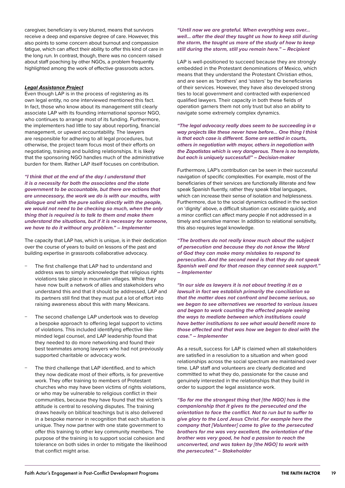caregiver, beneficiary is very blurred, means that survivors receive a deep and expansive degree of care. However, this also points to some concern about burnout and compassion fatigue, which can affect their ability to offer this kind of care in the long run. In contrast, though, there was no concern raised about staff poaching by other NGOs, a problem frequently highlighted among the work of effective grassroots actors.

#### *Legal Assistance Project*

Even though LAP is in the process of registering as its own legal entity, no one interviewed mentioned this fact. In fact, those who know about its management still clearly associate LAP with its founding international sponsor NGO, who continues to arrange most of its funding. Furthermore, the implementers had little to say about reporting, financial management, or upward accountability. The lawyers are responsible for adhering to all legal procedures, but otherwise, the project team focus most of their efforts on negotiating, training and building relationships. It is likely that the sponsoring NGO handles much of the administrative burden for them. Rather LAP itself focuses on contribution.

*"I think that at the end of the day I understand that it is a necessity for both the associates and the state government to be accountable, but there are actions that are unnecessary, the work we do is with our mouths, with dialogue and with the pure saliva directly with the people, we would not need to be checking so much, when the only thing that is required is to talk to them and make them understand the situations, but if it is necessary for someone, we have to do it without any problem." – Implementer*

The capacity that LAP has, which is unique, is in their dedication over the course of years to build on lessons of the past and building expertise in grassroots collaborative advocacy.

- The first challenge that LAP had to understand and address was to simply acknowledge that religious rights violations take place in mountain villages. While they have now built a network of allies and stakeholders who understand this and that it should be addressed, LAP and its partners still find that they must put a lot of effort into raising awareness about this with many Mexicans.
- The second challenge LAP undertook was to develop a bespoke approach to offering legal support to victims of violations. This included identifying effective likeminded legal counsel, and LAP leadership found that they needed to do more networking and found their best teammates among lawyers who had not previously supported charitable or advocacy work.
- The third challenge that LAP identified, and to which they now dedicate most of their efforts, is for preventive work. They offer training to members of Protestant churches who may have been victims of rights violations, or who may be vulnerable to religious conflict in their communities, because they have found that the victim's attitude is central to resolving disputes. The training draws heavily on biblical teachings but is also delivered in a bespoke manner in recognition that each situation is unique. They now partner with one state government to offer this training to other key community members. The purpose of the training is to support social cohesion and tolerance on both sides in order to mitigate the likelihood that conflict might arise.

#### *"Until now we are grateful. When everything was over… well… after the deal they taught us how to keep still during the storm, the taught us more of the study of how to keep still during the storm, still you remain here." – Recipient*

LAP is well-positioned to succeed because they are strongly embedded in the Protestant denominations of Mexico, which means that they understand the Protestant Christian ethos, and are seen as 'brothers' and 'sisters' by the beneficiaries of their services. However, they have also developed strong ties to local government and contracted with experienced qualified lawyers. Their capacity in both these fields of operation garners them not only trust but also an ability to navigate some extremely complex dynamics.

*"The legal advocacy really does seem to be succeeding in a way projects like these never have before… One thing I think is that each case is different. Some are settled in courts, others in negotiation with mayor, others in negotiation with the Zapatistas which is very dangerous. There is no template, but each is uniquely successful!" – Decision-maker*

Furthermore, LAP's contribution can be seen in their successful navigation of specific complexities. For example, most of the beneficiaries of their services are functionally illiterate and few speak Spanish fluently, rather they speak tribal languages, which can increase their sense of isolation and helplessness. Furthermore, due to the social dynamics outlined in the section on 'dignity' above, a difficult situation can escalate quickly, and a minor conflict can affect many people if not addressed in a timely and sensitive manner. In addition to relational sensitivity, this also requires legal knowledge.

*"The brothers do not really know much about the subject of persecution and because they do not know the Word of God they can make many mistakes to respond to persecution. And the second need is that they do not speak Spanish well and for that reason they cannot seek support." – Implementer*

*"In our side as lawyers it is not about treating it as a lawsuit in fact we establish primarily the conciliation so that the matter does not confront and become serious, so we began to see alternatives we resorted to various issues and began to work counting the affected people seeing the ways to mediate between which institutions could have better institutions to see what would benefit more to those affected and that was how we began to deal with the case." – Implementer*

As a result, success for LAP is claimed when all stakeholders are satisfied in a resolution to a situation and when good relationships across the social spectrum are maintained over time. LAP staff and volunteers are clearly dedicated and committed to what they do, passionate for the cause and genuinely interested in the relationships that they build in order to support the legal assistance work.

*"So for me the strongest thing that [the NGO] has is the companionship that it gives to the persecuted and the orientation to face the conflict. Not to run but to suffer to give glory to the Lord Jesus Christ. For example here the company that [Volunteer] came to give to the persecuted brothers for me was very excellent, the orientation of the brother was very good, he had a passion to reach the unconverted, and was taken by [the NGO] to work with the persecuted." – Stakeholder*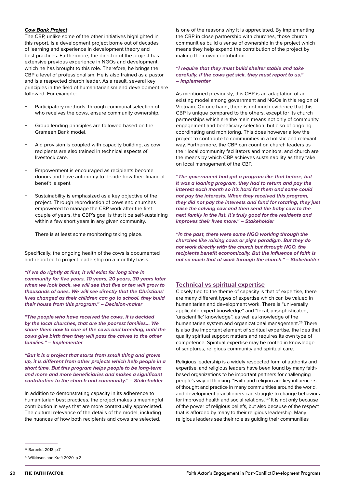#### <span id="page-19-0"></span>*Cow Bank Project*

The CBP, unlike some of the other initiatives highlighted in this report, is a development project borne out of decades of learning and experience in development theory and best practices. Furthermore, the director of the project has extensive previous experience in NGOs and development, which he has brought to this role. Therefore, he brings the CBP a level of professionalism. He is also trained as a pastor and is a respected church leader. As a result, several key principles in the field of humanitarianism and development are followed. For example:

- Participatory methods, through communal selection of who receives the cows, ensure community ownership.
- − Group lending principles are followed based on the Grameen Bank model.
- Aid provision is coupled with capacity building, as cow recipients are also trained in technical aspects of livestock care.
- Empowerment is encouraged as recipients become donors and have autonomy to decide how their financial benefit is spent.
- Sustainability is emphasized as a key objective of the project. Through reproduction of cows and churches empowered to manage the CBP work after the first couple of years, the CBP's goal is that it be self-sustaining within a few short years in any given community.
- There is at least some monitoring taking place.

Specifically, the ongoing health of the cows is documented and reported to project leadership on a monthly basis.

*"If we do rightly at first, it will exist for long time in community for five years, 10 years, 20 years, 30 years later when we look back, we will see that five or ten will grow to thousands of ones. We will see directly that the Christians' lives changed as their children can go to school, they build their house from this program." – Decision-maker*

*"The people who have received the cows, it is decided by the local churches, that are the poorest families… We share them how to care of the cows and breeding, until the cows give birth then they will pass the calves to the other families." – Implementer*

*"But it is a project that starts from small thing and grows up, it is different from other projects which help people in a short time. But this program helps people to be long-term and more and more beneficiaries and makes a significant contribution to the church and community." – Stakeholder*

In addition to demonstrating capacity in its adherence to humanitarian best practices, the project makes a meaningful contribution in ways that are more contextually appreciated. The cultural relevance of the details of the model, including the nuances of how both recipients and cows are selected,

is one of the reasons why it is appreciated. By implementing the CBP in close partnership with churches, those church communities build a sense of ownership in the project which means they help expand the contribution of the project by making their own contribution.

#### *"I require that they must build shelter stable and take carefully, if the cows get sick, they must report to us." – Implementer*

As mentioned previously, this CBP is an adaptation of an existing model among government and NGOs in this region of Vietnam. On one hand, there is not much evidence that this CBP is unique compared to the others, except for its church partnerships which are the main means not only of community engagement and beneficiary selection, but also of ongoing coordinating and monitoring. This does however allow the project to contribute to communities in a holistic and relevant way. Furthermore, the CBP can count on church leaders as their local community facilitators and monitors, and church are the means by which CBP achieves sustainability as they take on local management of the CBP.

*"The government had got a program like that before, but it was a loaning program, they had to return and pay the interest each month so it's hard for them and some could not pay the interests. When they received this program, they did not pay the interests and fund for rotating, they just raise the calving cow and then send the baby cow to the next family in the list, it's truly good for the residents and improves their lives more." – Stakeholder*

*"In the past, there were some NGO working through the churches like raising cows or pig's paradigm. But they do not work directly with the church but through NGO, the recipients benefit economically. But the influence of faith is not so much that of work through the church." – Stakeholder*

#### **Technical vs spiritual expertise**

Closely tied to the theme of capacity is that of expertise, there are many different types of expertise which can be valued in humanitarian and development work. There is "universally applicable expert knowledge" and "local, unsophisticated, 'unscientific' knowledge", as well as knowledge of the humanitarian system and organizational management.<sup>26</sup> There is also the important element of spiritual expertise, the idea that quality spiritual support matters and requires its own type of competence. Spiritual expertise may be rooted in knowledge of scriptures, religious community and spiritual care.

Religious leadership is a widely respected form of authority and expertise, and religious leaders have been found by many faithbased organizations to be important partners for challenging people's way of thinking. "Faith and religion are key influencers of thought and practice in many communities around the world, and development practitioners can struggle to change behaviors for improved health and social relations."<sup>27</sup> It is not only because of the power of religious beliefs, but also because of the respect that is afforded by many to their religious leadership. Many religious leaders see their role as guiding their communities

<sup>26</sup> Barbelet 2018, p.7

<sup>27</sup> Wilkinson and Kraft 2020, p.2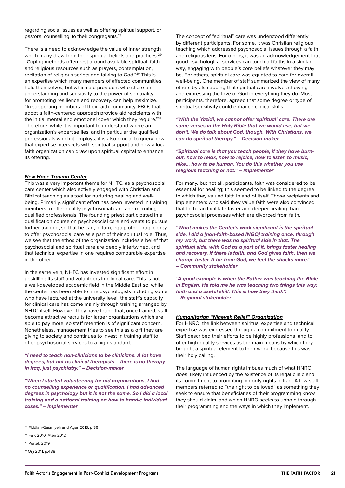regarding social issues as well as offering spiritual support, or pastoral counselling, to their congregants.28

There is a need to acknowledge the value of inner strength which many draw from their spiritual beliefs and practices.<sup>29</sup> "Coping methods often rest around available spiritual, faith and religious resources such as prayers, contemplation, recitation of religious scripts and talking to God."30 This is an expertise which many members of affected communities hold themselves, but which aid providers who share an understanding and sensitivity to the power of spirituality for promoting resilience and recovery, can help maximize. "In supporting members of their faith community, FBOs that adopt a faith-centered approach provide aid recipients with the initial mental and emotional cover which they require."<sup>31</sup> Therefore, while it is important to understand where an organization's expertise lies, and in particular the qualified professionals which it employs, it is also crucial to query how that expertise intersects with spiritual support and how a local faith organization can draw upon spiritual capital to enhance its offering.

#### *New Hope Trauma Center*

This was a very important theme for NHTC, as a psychosocial care center which also actively engaged with Christian and Biblical teaching as a tool for nurturing healing and wellbeing. Primarily, significant effort has been invested in training members to offer quality psychosocial care and recruiting qualified professionals. The founding priest participated in a qualification course on psychosocial care and wants to pursue further training, so that he can, in turn, equip other Iraqi clergy to offer psychosocial care as a part of their spiritual role. Thus, we see that the ethos of the organization includes a belief that psychosocial and spiritual care are deeply intertwined, and that technical expertise in one requires comparable expertise in the other.

In the same vein, NHTC has invested significant effort in upskilling its staff and volunteers in clinical care. This is not a well-developed academic field in the Middle East so, while the center has been able to hire psychologists including some who have lectured at the university level, the staff's capacity for clinical care has come mainly through training arranged by NHTC itself. However, they have found that, once trained, staff become attractive recruits for larger organizations which are able to pay more, so staff retention is of significant concern. Nonetheless, management tries to see this as a gift they are giving to society and continues to invest in training staff to offer psychosocial services to a high standard.

*"I need to teach non-clinicians to be clinicians. A lot have degrees, but not as clinical therapists – there is no therapy in Iraq, just psychiatry." – Decision-maker*

*"When I started volunteering for aid organizations, I had no counselling experience or qualification. I had advanced degrees in psychology but it is not the same. So I did a local training and a national training on how to handle individual cases." – Implementer*

The concept of "spiritual" care was understood differently by different participants. For some, it was Christian religious teaching which addressed psychosocial issues through a faith and religious lens. For others, it was an acknowledgement that good psychological services can touch all faiths in a similar way, engaging with people's core beliefs whatever they may be. For others, spiritual care was equated to care for overall well-being. One member of staff summarized the view of many others by also adding that spiritual care involves showing and expressing the love of God in everything they do. Most participants, therefore, agreed that some degree or type of spiritual sensitivity could enhance clinical skills.

*"With the Yazidi, we cannot offer 'spiritual' care. There are some verses in the Holy Bible that we would use, but we don't. We do talk about God, though. With Christians, we can do spiritual therapy." – Decision-maker*

*"Spiritual care is that you teach people, if they have burnout, how to relax, how to rejoice, how to listen to music, hike… how to be human. You do this whether you use religious teaching or not." – Implementer*

For many, but not all, participants, faith was considered to be essential for healing; this seemed to be linked to the degree to which they valued faith in and of itself. Those recipients and implementers who said they value faith were also convinced that faith can facilitate faster and deeper healing than psychosocial processes which are divorced from faith.

*"What makes the Center's work significant is the spiritual side. I did a [non-faith-based INGO] training once, through my work, but there was no spiritual side in that. The spiritual side, with God as a part of it, brings faster healing and recovery. If there is faith, and God gives faith, then we change faster. If far from God, we feel the shocks more." – Community stakeholder*

*"A good example is when the Father was teaching the Bible in English. He told me he was teaching two things this way: faith and a useful skill. This is how they think". – Regional stakeholder*

#### *Humanitarian "Nineveh Relief" Organization*

For HNRO, the link between spiritual expertise and technical expertise was expressed through a commitment to quality. Staff described their efforts to be highly professional and to offer high-quality services as the main means by which they brought a spiritual element to their work, because this was their holy calling.

The language of human rights imbues much of what HNRO does, likely influenced by the existence of its legal clinic and its commitment to promoting minority rights in Iraq. A few staff members referred to "the right to be loved" as something they seek to ensure that beneficiaries of their programming know they should claim, and which HNRO seeks to uphold through their programming and the ways in which they implement.

<sup>28</sup> Fiddian-Qasmiyeh and Ager 2013, p.36

<sup>29</sup> Falk 2010, Aten 2012

<sup>30</sup> Pertek 2019

<sup>31</sup> Orji 2011, p.488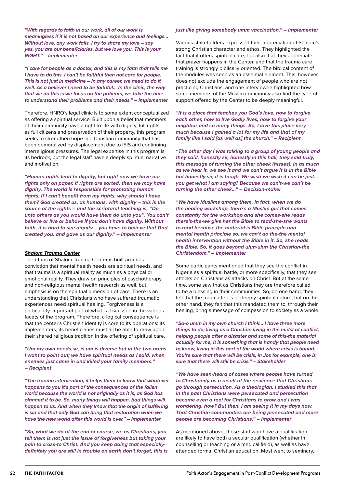*"With regards to faith in our work, all of our work is meaningless if it is not based on our experience and feelings... Without love, any work fails. I try to share my love – say yes, you are our beneficiaries, but we love you. This is your RIGHT." – Implementer*

*"I care for people as a doctor, and this is my faith that tells me I have to do this. I can't be faithful then not care for people. This is not just in medicine – in any career, we need to do it well. As a believer I need to be faithful… In the clinic, the way that we do this is we focus on the patients, we take the time to understand their problems and their needs." – Implementer*

Therefore, HNRO's legal clinic is to some extent conceptualized as offering a spiritual service. Built upon a belief that members of their community have a right to life with dignity, full rights as full citizens and preservation of their property, this program seeks to strengthen hope in a Christian community that has been demoralized by displacement due to ISIS and continuing interreligious pressures. The legal expertise in this program is its bedrock, but the legal staff have a deeply spiritual narrative and motivation.

*"Human rights lead to dignity, but right now we have our rights only on paper. If rights are sorted, then we may have dignity. The world is responsible for promoting human rights. If I can't benefit from my rights, why should I have them? God created us, as humans, with dignity – this is the source of the rights – and the scriptural teaching is, ''Do unto others as you would have them do unto you''. You can't believe or live or behave if you don't have dignity. Without faith, it is hard to see dignity – you have to believe that God created you, and gave us our dignity." – Implementer*

#### *Shalom Trauma Center*

The ethos of Shalom Trauma Center is built around a conviction that mental health needs are spiritual needs, and that trauma is a spiritual reality as much as a physical or emotional reality. They draw on principles of psychotherapy and non-religious mental health research as well, but emphasis is on the spiritual dimension of care. There is an understanding that Christians who have suffered traumatic experiences need spiritual healing. Forgiveness is a particularly important part of what is discussed in the various facets of the program. Therefore, a logical consequence is that the center's Christian identity is core to its operations: its implementers, its beneficiaries must all be able to draw upon their shared religious tradition in the offering of spiritual care.

*"Um my own needs sir, is um is diverse but in the two areas I want to point out; we have spiritual needs as I said, when enemies just came in and killed your family members." – Recipient*

*"The trauma intervention, it helps them to know that whatever happens to you it's part of the consequences of the fallen world because the world is not originally as it is, as God has planned it to be. So, many things will happen, bad things will happen to us. And when they know that the origin of suffering is sin and that only God can bring that restoration when we have the new world after this world is over." – Implementer*

*"So, what we do at the end of course, we as Christians, you tell them is not just the issue of forgiveness but taking your pain to cross-to Christ. And you keep doing that especiallydefinitely you are still in trouble on earth don't forget, this is* 

#### *just like giving somebody umm vaccination." – Implementer*

Various stakeholders expressed their appreciation of Shalom's strong Christian character and ethos. They highlighted the fact that it offers spiritual care, but also that they appreciate that prayer happens in the Center, and that the trauma care training is strongly biblically oriented. The biblical content of the modules was seen as an essential element. This, however, does not exclude the engagement of people who are not practicing Christians, and one interviewee highlighted how some members of the Muslim community also find the type of support offered by the Center to be deeply meaningful.

*"It is a place that teaches you God's love, how to forgive each other, how to live Godly lives, how to forgive your neighbor and so many things. So, I love this place very much because I gained a lot for my life and that of my family like I said [as well as] the church." – Recipient*

*"The other day I was talking to a group of young people and they said, honestly sir, honestly in this hall, they said truly, this message of turning the other cheek (hisses). In as much as we hear it, we see it and we can't argue it is in the Bible but honestly sir, it is tough. We wish-we wish it can be just… you get what I am saying? Because we can't-we can't be turning the other cheek…" – Decision-maker*

*"We have Muslims among them. In fact, when we do the healing workshop, there's a Muslim girl that comes constantly for the workshop and she comes-she reads there's-the-we give her the Bible to read-she-she wants to read because the material is Bible principle and mental health principle so, we can't do the-the mental health intervention without the Bible in it. So, she reads the Bible. So, it goes beyond uhm-uhm the Christian-the Christendom." – Implementer*

Some participants mentioned that they see the conflict in Nigeria as a spiritual battle, or more specifically, that they see attacks on Christians as attacks on Christ. But at the same time, some saw that as Christians they are therefore called to be a blessing in their communities. So, on one hand, they felt that the trauma felt is of deeply spiritual nature, but on the other hand, they felt that this mandated them to, through their healing, bring a message of compassion to society as a whole.

*"So-o umm in my own church I think… I have three more things to do; living as a Christian living in the midst of conflict, helping people after a disaster and some of this-the material actually for me, it is something that is handy that people need to know, living in this part of the world where crisis is bound. You're sure that there will be crisis, in Jos for example, one is sure that there will still be crisis." – Stakeholder*

*"We have seen-heard of cases where people have turned to Christianity as a result of the resilience that Christians go through persecution. As a theologian, I studied this that in the past Christians were persecuted and persecution became even a tool for Christians to grow and I was wondering, how? But then, I am seeing it in my days now. That Christian communities are being persecuted and more people are becoming Christians." – Implementer*

As mentioned above, those staff who have a qualification are likely to have both a secular qualification (whether in counselling or teaching or a medical field), as well as have attended formal Christian education. Most went to seminary,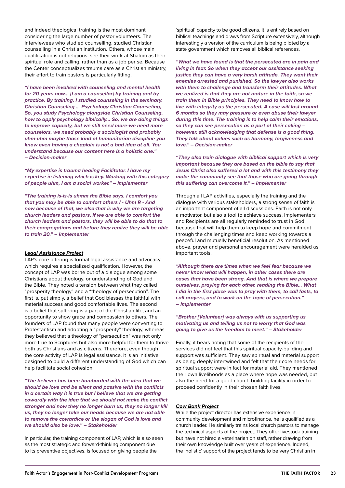and indeed theological training is the most dominant considering the large number of pastor volunteers. The interviewees who studied counselling, studied Christian counselling in a Christian institution. Others, whose main qualification is not religious, see their work at Shalom as their spiritual role and calling, rather than as a job per se. Because the Center conceptualizes trauma care as a Christian ministry, their effort to train pastors is particularly fitting.

*"I have been involved with counseling and mental health for 20 years now… [I am a counsellor] by training and by practice. By training, I studied counseling in the seminary. Christian Counseling … Psychology Christian Counseling, So, you study Psychology alongside Christian Counseling, how to apply psychology biblically… So, we are doing things to improve capacity, but we still need more-we need more counselors, we need probably a sociologist and probably uhm-uhm maybe those kind of humanitarian discipline you know even having a chaplain is not a bad idea at all. You understand because our content here is a holistic one." – Decision-maker*

*"My expertise is trauma healing Facilitator. I have my expertise in listening which is key. Working with this category of people uhm, I am a social worker." – Implementer*

*"The training is-is-is uhmm the Bible says, I comfort you that you may be able to comfort others I - Uhm R - And now because of that, we also-that is why we are targeting church leaders and pastors, if we are able to comfort the church leaders and pastors, they will be able to do that to their congregations and before they realize they will be able to train 20." – Implementer*

#### *Legal Assistance Project*

LAP's core offering is formal legal assistance and advocacy which requires a specialized qualification. However, the concept of LAP was borne out of a dialogue among some Christians about theology, or understanding of God and the Bible. They noted a tension between what they called "prosperity theology" and a "theology of persecution". The first is, put simply, a belief that God blesses the faithful with material success and good comfortable lives. The second is a belief that suffering is a part of the Christian life, and an opportunity to show grace and compassion to others. The founders of LAP found that many people were converting to Protestantism and adopting a "prosperity" theology, whereas they believed that a theology of "persecution" was not only more true to Scriptures but also more helpful for them to thrive both as Christians and as citizens. Therefore, even though the core activity of LAP is legal assistance, it is an initiative designed to build a different understanding of God which can help facilitate social cohesion.

*"The believer has been bombarded with the idea that we should be love and be silent and passive with the conflicts in a certain way it is true but I believe that we are getting cowardly with the idea that we should not make the conflict stronger and now they no longer burn us, they no longer kill us, they no longer take our heads because we are not able to remove the cowardice or the slogan of God is love and we should also be love." – Stakeholder*

In particular, the training component of LAP, which is also seen as the most strategic and forward-thinking component due to its preventive objectives, is focused on giving people the

'spiritual' capacity to be good citizens. It is entirely based on biblical teachings and draws from Scripture extensively, although interestingly a version of the curriculum is being piloted by a state government which removes all biblical references.

*"What we have found is that the persecuted are in pain and living in fear. So when they accept our assistance seeking justice they can have a very harsh attitude. They want their enemies arrested and punished. So the lawyer also works with them to challenge and transform their attitudes. What we realized is that they are not mature in the faith, so we train them in Bible principles. They need to know how to live with integrity as the persecuted. A case will last around 6 months so they may pressure or even abuse their lawyer during this time. The training is to help calm their emotions, so they can see persecution as a part of their calling – however, still acknowledging that defense is a good thing. They talk about values such as harmony, forgiveness and love." – Decision-maker*

*"They also train dialogue with biblical support which is very important because they are based on the bible to say that Jesus Christ also suffered a lot and with this testimony they make the community see that those who are going through this suffering can overcome it." – Implementer*

Through all LAP activities, especially the training and the dialogue with various stakeholders, a strong sense of faith is an important component of all discussions. Faith is not only a motivator, but also a tool to achieve success. Implementers and Recipients are all regularly reminded to trust in God because that will help them to keep hope and commitment through the challenging times and keep working towards a peaceful and mutually beneficial resolution. As mentioned above, prayer and personal encouragement were heralded as important tools.

*"Although there are times when we feel fear because we never know what will happen, in other cases there are cases that have been strong. And that is where we prepare ourselves, praying for each other, reading the Bible… What I did in the first place was to pray with them, to call fasts, to call prayers, and to work on the topic of persecution." – Implementer*

*"Brother [Volunteer] was always with us supporting us motivating us and telling us not to worry that God was going to give us the freedom to meet." – Stakeholder*

Finally, it bears noting that some of the recipients of the services did not feel that this spiritual capacity-building and support was sufficient. They saw spiritual and material support as being deeply intertwined and felt that their core needs for spiritual support were in fact for material aid. They mentioned their own livelihoods as a place where hope was needed, but also the need for a good church building facility in order to proceed confidently in their chosen faith lives.

#### *Cow Bank Project*

While the project director has extensive experience in community development and microfinance, he is qualified as a church leader. He similarly trains local church pastors to manage the technical aspects of the project. They offer livestock training but have not hired a veterinarian on staff, rather drawing from their own knowledge built over years of experience. Indeed, the 'holistic' support of the project tends to be very Christian in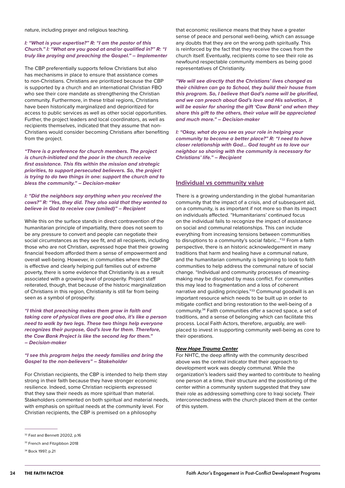<span id="page-23-0"></span>nature, including prayer and religious teaching.

#### *I: "What is your expertise?" R: "I am the pastor of this Church." I: "What are you good at and/or qualified in?" R: "I truly like praying and preaching the Gospel." – Implementer*

The CBP preferentially supports fellow Christians but also has mechanisms in place to ensure that assistance comes to non-Christians. Christians are prioritized because the CBP is supported by a church and an international Christian FBO who see their core mandate as strengthening the Christian community. Furthermore, in these tribal regions, Christians have been historically marginalized and deprioritized for access to public services as well as other social opportunities. Further, the project leaders and local coordinators, as well as recipients themselves, indicated that they assume that non-Christians would consider becoming Christians after benefiting from the project.

*"There is a preference for church members. The project is church-initiated and the poor in the church receive first assistance. This fits within the mission and strategic priorities, to support persecuted believers. So, the project is trying to do two things in one: support the church and to bless the community." – Decision-maker*

#### *I: "Did the neighbors say anything when you received the cows?" R: "Yes, they did. They also said that they wanted to believe in God to receive cow (smiled)" – Recipient*

While this on the surface stands in direct contravention of the humanitarian principle of impartiality, there does not seem to be any pressure to convert and people can negotiate their social circumstances as they see fit, and all recipients, including those who are not Christian, expressed hope that their growing financial freedom afforded them a sense of empowerment and overall well-being. However, in communities where the CBP is effective and clearly helping pull families out of extreme poverty, there is some evidence that Christianity is as a result associated with a growing level of prosperity. Project staff reiterated, though, that because of the historic marginalization of Christians in this region, Christianity is still far from being seen as a symbol of prosperity.

*"I think that preaching makes them grow in faith and taking care of physical lives are good also, it's like a person need to walk by two legs. These two things help everyone recognizes their purpose, God's love for them. Therefore, the Cow Bank Project is like the second leg for them." – Decision-maker*

*"I see this program helps the needy families and bring the Gospel to the non-believers" – Stakeholder*

For Christian recipients, the CBP is intended to help them stay strong in their faith because they have stronger economic resilience. Indeed, some Christian recipients expressed that they saw their needs as more spiritual than material. Stakeholders commented on both spiritual and material needs, with emphasis on spiritual needs at the community level. For Christian recipients, the CBP is premised on a philosophy

that economic resilience means that they have a greater sense of peace and personal well-being, which can assuage any doubts that they are on the wrong path spiritually. This is reinforced by the fact that they receive the cows from the church itself. Eventually, recipients come to see their role as newfound respectable community members as being good representatives of Christianity.

*"We will see directly that the Christians' lives changed as their children can go to School, they build their house from this program. So, I believe that God's name will be glorified, and we can preach about God's love and His salvation, it will be easier for sharing the gift 'Cow Bank' and when they share this gift to the others, their value will be appreciated and much more." – Decision-maker*

*I: "Okay, what do you see as your role in helping your community to become a better place?" R: "I need to have closer relationship with God… God taught us to love our neighbor so sharing with the community is necessary for Christians' life." – Recipient*

#### **Individual vs community value**

There is a growing understanding in the global humanitarian community that the impact of a crisis, and of subsequent aid, on a community, is as important if not more so than its impact on individuals affected. "Humanitarians' continued focus on the individual fails to recognize the impact of assistance on social and communal relationships. This can include everything from increasing tensions between communities to disruptions to a community's social fabric..."<sup>32</sup> From a faith perspective, there is an historic acknowledgement in many traditions that harm and healing have a communal nature, and the humanitarian community is beginning to look to faith communities to help address the communal nature of social change. "Individual and community processes of meaningmaking may be disrupted by mass conflict. For communities this may lead to fragmentation and a loss of coherent narrative and guiding principles."33 Communal goodwill is an important resource which needs to be built up in order to mitigate conflict and bring restoration to the well-being of a community.34 Faith communities offer a sacred space, a set of traditions, and a sense of belonging which can facilitate this process. Local Faith Actors, therefore, arguably, are wellplaced to invest in supporting community well-being as core to their operations.

#### *New Hope Trauma Center*

For NHTC, the deep affinity with the community described above was the central indicator that their approach to development work was deeply communal. While the organization's leaders said they wanted to contribute to healing one person at a time, their structure and the positioning of the center within a community system suggested that they saw their role as addressing something core to Iraqi society. Their interconnectedness with the church placed them at the center of this system.

<sup>&</sup>lt;sup>32</sup> Fast and Bennett 20202, p.16

<sup>&</sup>lt;sup>33</sup> French and Fitzgibbon 2018

<sup>&</sup>lt;sup>34</sup> Bock 1997, p.21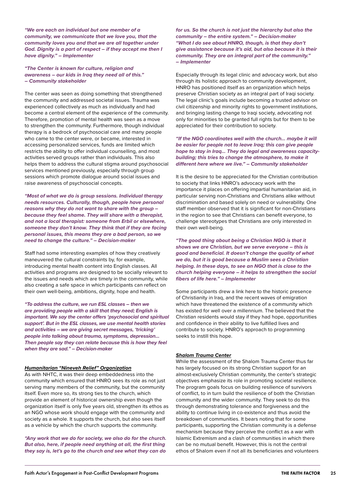*"We are each an individual but one member of a community, we communicate that we love you, that the community loves you and that we are all together under God. Dignity is a part of respect – if they accept me then I have dignity." – Implementer*

*"The Center is known for culture, religion and awareness – our kids in Iraq they need all of this." – Community stakeholder*

The center was seen as doing something that strengthened the community and addressed societal issues. Trauma was experienced collectively as much as individually and had become a central element of the experience of the community. Therefore, promotion of mental health was seen as a move to strengthen the community. Furthermore, though individual therapy is a bedrock of psychosocial care and many people who came to the center were, or became, interested in accessing personalized services, funds are limited which restricts the ability to offer individual counselling, and most activities served groups rather than individuals. This also helps them to address the cultural stigma around psychosocial services mentioned previously, especially through group sessions which promote dialogue around social issues and raise awareness of psychosocial concepts.

*"Most of what we do is group sessions. Individual therapy needs resources. Culturally, though, people have personal reasons why they do not want to share with the group – because they feel shame. They will share with a therapist, and not a local therapist: someone from Erbil or elsewhere, someone they don't know. They think that if they are facing personal issues, this means they are a bad person, so we need to change the culture." – Decision-maker*

Staff had some interesting examples of how they creatively maneuvered the cultural constraints by, for example, introducing mental health content into English classes. All activities and programs are designed to be socially relevant to the issues and needs which are timely in the community, while also creating a safe space in which participants can reflect on their own well-being, ambitions, dignity, hope and health.

*"To address the culture, we run ESL classes – then we are providing people with a skill that they need; English is important. We say the center offers 'psychosocial and spiritual support'. But in the ESL classes, we use mental health stories and activities – we are giving secret messages, 'tricking' people into talking about trauma, symptoms, depression… Then people say they can relate because this is how they feel when they are sad." – Decision-maker*

#### *Humanitarian "Nineveh Relief" Organization*

As with NHTC, it was their deep embeddedness into the community which ensured that HNRO sees its role as not just serving many members of the community, but the community itself. Even more so, its strong ties to the church, which provide an element of historical ownership even though the organization itself is only five years old, strengthen its ethos as an NGO whose work should engage with the community and society as a whole. It supports the church, but also sees itself as a vehicle by which the church supports the community.

*"Any work that we do for society, we also do for the church. But also, here, if people need anything at all, the first thing they say is, let's go to the church and see what they can do*  *for us. So the church is not just the hierarchy but also the community – the entire system." – Decision-maker "What I do see about HNRO, though, is that they don't give assistance because it's aid, but also because it is their community. They are an integral part of the community." – Implementer*

Especially through its legal clinic and advocacy work, but also through its holistic approach to community development, HNRO has positioned itself as an organization which helps preserve Christian society as an integral part of Iraqi society. The legal clinic's goals include becoming a trusted advisor on civil citizenship and minority rights to government institutions, and bringing lasting change to Iraqi society, advocating not only for minorities to be granted full rights but for them to be appreciated for their contribution to society.

*"If the NGO coordinates well with the church… maybe it will be easier for people not to leave Iraq; this can give people hope to stay in Iraq… They do legal and awareness capacitybuilding; this tries to change the atmosphere, to make it different here where we live." – Community stakeholder*

It is the desire to be appreciated for the Christian contribution to society that links HNRO's advocacy work with the importance it places on offering impartial humanitarian aid, in particular serving non-Christians and Christians alike without discrimination and based solely on need or vulnerability. One staff member observed that it is significant for non-Christians in the region to see that Christians can benefit everyone, to challenge stereotypes that Christians are only interested in their own well-being.

*"The good thing about being a Christian NGO is that it shows we are Christian, but we serve everyone – this is good and beneficial. It doesn't change the quality of what we do, but it is good because a Muslim sees a Christian helping. In these days, to see an NGO that is close to the church helping everyone – it helps to strengthen the social fibers of life here." – Implementer*

Some participants drew a link here to the historic presence of Christianity in Iraq, and the recent waves of emigration which have threatened the existence of a community which has existed for well over a millennium. The believed that the Christian residents would stay if they had hope, opportunities and confidence in their ability to live fulfilled lives and contribute to society. HNRO's approach to programming seeks to instill this hope.

#### *Shalom Trauma Center*

While the assessment of the Shalom Trauma Center thus far has largely focused on its strong Christian support for an almost-exclusively Christian community, the center's strategic objectives emphasize its role in promoting societal resilience. The program goals focus on building resilience of survivors of conflict, to in turn build the resilience of both the Christian community and the wider community. They seek to do this through demonstrating tolerance and forgiveness and the ability to continue living in co-existence and thus avoid the breakdown of communities. It bears noting that for some participants, supporting the Christian community is a defense mechanism because they perceive the conflict as a war with Islamic Extremism and a clash of communities in which there can be no mutual benefit. However, this is not the central ethos of Shalom even if not all its beneficiaries and volunteers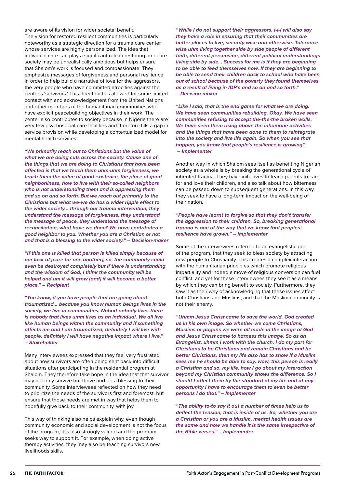are aware of its vision for wider societal benefit. The vision for restored resilient communities is particularly noteworthy as a strategic direction for a trauma care center whose services are highly personalized. The idea that individual care can play a significant role in restoring an entire society may be unrealistically ambitious but helps ensure that Shalom's work is focused and compassionate. They emphasize messages of forgiveness and personal resilience in order to help build a narrative of love for the aggressors, the very people who have committed atrocities against the center's 'survivors.' This direction has allowed for some limited contact with and acknowledgement from the United Nations and other members of the humanitarian communities who have explicit peacebuilding objectives in their work. The center also contributes to society because in Nigeria there are very few psychosocial care facilities and therefore fills a gap in service provision while developing a contextualized model for mental health services.

*"We primarily reach out to Christians but the value of what we are doing cuts across the society. Cause one of the things that we are doing to Christians that have been affected is that we teach them uhm-uhm forgiveness, we teach them the value of good existence, the place of good neighborliness, how to live with their so-called neighbors who is not understanding them and is oppressing them and so on and so forth. But we reach out primarily to the Christians but what we-we do has a wider ripple effect to the wider society… through our trauma intervention, they understand the message of forgiveness, they understand the message of peace, they understand the message of reconciliation, what have we done? We have contributed a good neighbor to you. Whether you are a Christian or not and that is a blessing to the wider society." – Decision-maker*

*"If this one is killed that person is killed simply because of our lack of [care for one another], so, the community could even be destroyed completely but if there is understanding and the wisdom of God, I think the community will be helped and um it will grow [and] it will become a better place." – Recipient*

*"You know, if you have people that are going about traumatized… because you know human beings lives in the society, we live in communities. Nobod-nobody lives-there is nobody that lives umm lives as an individual. We all live like human beings within the community and if something affects me and I am traumatized, definitely I will live with people, definitely I will have negative impact where I live." – Stakeholder*

Many interviewees expressed that they feel very frustrated about how survivors are often being sent back into difficult situations after participating in the residential program at Shalom. They therefore take hope in the idea that that survivor may not only survive but thrive and be a blessing to their community. Some interviewees reflected on how they need to prioritize the needs of the survivors first and foremost, but ensure that those needs are met in way that helps them to hopefully give back to their community, with joy.

This way of thinking also helps explain why, even though community economic and social development is not the focus of the program, it is also strongly valued and the program seeks way to support it. For example, when doing active therapy activities, they may also be teaching survivors new livelihoods skills.

*"While I do not support their aggressors, I-i-I will also say they have a role in ensuring that their communities are better places to live, security wise and otherwise. Tolerance wise uhm living together side by side people of different faith, different persuasion, different political understandings living side by side… Success for me is if they are beginning to be able to feed themselves now. If they are beginning to be able to send their children back to school who have been out of school because of the poverty they found themselves as a result of living in IDP's and so on and so forth." – Decision-maker*

*"Like I said, that is the end game for what we are doing. We have seen communities rebuilding. Okay. We have seen communities refusing to accept the-the-the broken walls. We have seen them rising above the inhumane activities and the things that have been done to them to reintegrate into the society and live life again. So when you see that happen, you know that people's resilience is growing". – Implementer*

Another way in which Shalom sees itself as benefiting Nigerian society as a whole is by breaking the generational cycle of inherited trauma. They have initiatives to teach parents to care for and love their children, and also talk about how bitterness can be passed down to subsequent generations. In this way, they seek to have a long-term impact on the well-being of their nation.

*"People have learnt to forgive so that they don't transfer the aggression to their children. So, breaking generational trauma is one of the way that we know that peoples' resilience have grown." – Implementer*

Some of the interviewees referred to an evangelistic goal of the program, that they seek to bless society by attracting new people to Christianity. This creates a complex interaction with the humanitarian principles which promote religious impartiality and indeed a move of religious conversion can fuel conflict, and yet for these interviewees they see it as a means by which they can bring benefit to society. Furthermore, they saw it as their way of acknowledging that these issues affect both Christians and Muslims, and that the Muslim community is not their enemy.

*"Uhmm Jesus Christ came to save the world. God created us in his own image. So whether we come Christians, Muslims or pagans we were all made in the image of God and Jesus Christ came to harness this image. So as an Evangelist, uhmm I work with the church. I do my part for Christians to be Christians and remain Christians and be better Christians, then my life also has to show if a Muslim sees me he should be able to say, wow, this person is really a Christian and so, my life, how I go about my interaction beyond my Christian community shows the difference. So I should-I-affect them by the standard of my life and at any opportunity I have to encourage them to even be better persons I do that." – Implementer*

*"The ability to-to say it out a number of times help us to deflect the tension, that is inside of us. So, whether you are a Christian or you are a Muslim, mental health issues are the same and how we handle it is the same irrespective of the Bible verses." – Implementer*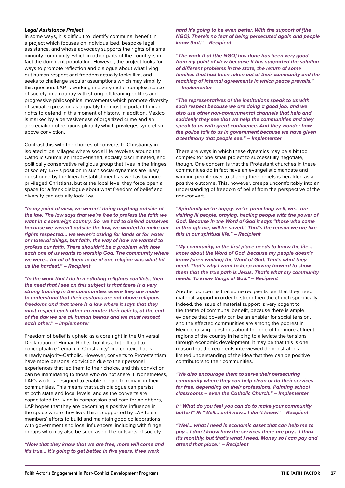#### *Legal Assistance Project*

In some ways, it is difficult to identify communal benefit in a project which focuses on individualized, bespoke legal assistance, and whose advocacy supports the rights of a small minority community, which in other parts of the country is in fact the dominant population. However, the project looks for ways to promote reflection and dialogue about what living out human respect and freedom actually looks like, and seeks to challenge secular assumptions which may simplify this question. LAP is working in a very niche, complex, space of society, in a country with strong left-leaning politics and progressive philosophical movements which promote diversity of sexual expression as arguably the most important human rights to defend in this moment of history. In addition, Mexico is marked by a pervasiveness of organized crime and an appreciation of religious plurality which privileges syncretism above conviction.

Contrast this with the choices of converts to Christianity in isolated tribal villages where social life revolves around the Catholic Church: an impoverished, socially discriminated, and politically conservative religious group that lives in the fringes of society. LAP's position in such social dynamics are likely questioned by the liberal establishment, as well as by more privileged Christians, but at the local level they force open a space for a frank dialogue about what freedom of belief and diversity can actually look like.

*"In my point of view, we weren't doing anything outside of the law. The law says that we're free to profess the faith we want in a sovereign country. So, we had to defend ourselves because we weren't outside the law, we wanted to make our rights respected… we weren't asking for lands or for water or material things, but faith, the way of how we wanted to profess our faith. There shouldn't be a problem with how each one of us wants to worship God. The community where we were… for all of them to be of one religion was what hit us the hardest." – Recipient*

*"In the work that I do in mediating religious conflicts, then the need that I see on this subject is that there is a very strong training in the communities where they are made to understand that their customs are not above religious freedoms and that there is a law where it says that they must respect each other no matter their beliefs, at the end of the day we are all human beings and we must respect each other." – Implementer*

Freedom of belief is upheld as a core right in the Universal Declaration of Human Rights, but it is a bit difficult to conceptualize 'remain in Christianity' in a context that is already majority-Catholic. However, converts to Protestantism have more personal conviction due to their personal experiences that led them to their choice, and this conviction can be intimidating to those who do not share it. Nonetheless, LAP's work is designed to enable people to remain in their communities. This means that such dialogue can persist at both state and local levels, and as the converts are capacitated for living in compassion and care for neighbors, LAP hopes that they are becoming a positive influence in the space where they live. This is supported by LAP team members' efforts to build and maintain good collaborations with government and local influencers, including with fringe groups who may also be seen as on the outskirts of society.

*"Now that they know that we are free, more will come and it's true… It's going to get better. In five years, if we work* 

*hard it's going to be even better. With the support of [the NGO]. There's no fear of being persecuted again and people know that." – Recipient*

*"The work that [the NGO] has done has been very good from my point of view because it has supported the solution of different problems in the state, the return of some families that had been taken out of their community and the reaching of internal agreements in which peace prevails." – Implementer*

*"The representatives of the institutions speak to us with such respect because we are doing a good job, and we also use other non-governmental channels that help and suddenly they see that we help the communities and they speak to us with great confidence. And they wonder how the police talk to us in government because we have given a testimony that people see." – Implementer*

There are ways in which these dynamics may be a bit too complex for one small project to successfully negotiate, though. One concern is that the Protestant churches in these communities do in fact have an evangelistic mandate and winning people over to sharing their beliefs is heralded as a positive outcome. This, however, creeps uncomfortably into an understanding of freedom of belief from the perspective of the non-convert.

*"Spiritually we're happy, we're preaching well, we… are visiting ill people, praying, healing people with the power of God. Because in the Word of God it says "those who come in through me, will be saved." That's the reason we are like this in our spiritual life." – Recipient*

*"My community, in the first place needs to know the life… know about the Word of God, because my people doesn´t know (siren wailing) the Word of God. That's what they need. That's why I want to keep moving forward to show them that the true path is Jesus. That's what my community needs. To know things of God." – Recipient*

Another concern is that some recipients feel that they need material support in order to strengthen the church specifically. Indeed, the issue of material support is very cogent to the theme of communal benefit, because there is ample evidence that poverty can be an enabler for social tension, and the affected communities are among the poorest in Mexico, raising questions about the role of the more affluent regions of the country in helping to alleviate the tensions through economic development. It may be that this is one reason that the recipients interviewed demonstrated a limited understanding of the idea that they can be positive contributors to their communities.

*"We also encourage them to serve their persecuting community where they can help clean or do their services for free, depending on their professions. Painting school classrooms – even the Catholic Church." – Implementer*

*I: "What do you feel you can do to make your community better?" R: "Well… until now… I don't know." – Recipient*

*"Well… what I need is economic asset that can help me to pay… I don't know how the services there are pay… I think it's monthly, but that's what I need. Money so I can pay and attend that place." – Recipient*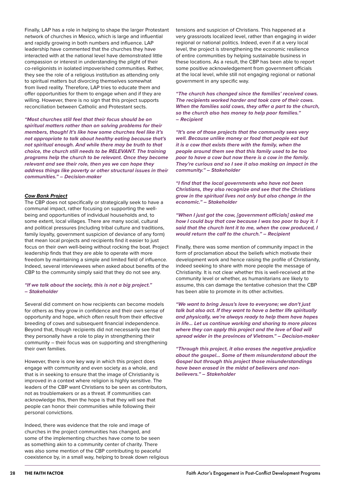Finally, LAP has a role in helping to shape the larger Protestant network of churches in Mexico, which is large and influential and rapidly growing in both numbers and influence. LAP leadership have commented that the churches they have interacted with at the national level have demonstrated little compassion or interest in understanding the plight of their co-religionists in isolated impoverished communities. Rather, they see the role of a religious institution as attending only to spiritual matters but divorcing themselves somewhat from lived reality. Therefore, LAP tries to educate them and offer opportunities for them to engage when and if they are willing. However, there is no sign that this project supports reconciliation between Catholic and Protestant sects.

*"Most churches still feel that their focus should be on spiritual matters rather than on solving problems for their members, though! It's like how some churches feel like it's not appropriate to talk about healthy eating because that's not spiritual enough. And while there may be truth to that choice, the church still needs to be RELEVANT. The training programs help the church to be relevant. Once they become relevant and see their role, then yes we can hope they address things like poverty or other structural issues in their communities." – Decision-maker*

#### *Cow Bank Project*

The CBP does not specifically or strategically seek to have a communal impact, rather focusing on supporting the wellbeing and opportunities of individual households and, to some extent, local villages. There are many social, cultural and political pressures (including tribal culture and traditions, family loyalty, government suspicion of deviance of any form) that mean local projects and recipients find it easier to just focus on their own well-being without rocking the boat. Project leadership finds that they are able to operate with more freedom by maintaining a simple and limited field of influence. Indeed, several interviewees when asked about benefits of the CBP to the community simply said that they do not see any.

#### *"If we talk about the society, this is not a big project." – Stakeholder*

Several did comment on how recipients can become models for others as they grow in confidence and their own sense of opportunity and hope, which often result from their effective breeding of cows and subsequent financial independence. Beyond that, though recipients did not necessarily see that they personally have a role to play in strengthening their community – their focus was on supporting and strengthening their own families.

However, there is one key way in which this project does engage with community and even society as a whole, and that is in seeking to ensure that the image of Christianity is improved in a context where religion is highly sensitive. The leaders of the CBP want Christians to be seen as contributors, not as troublemakers or as a threat. If communities can acknowledge this, then the hope is that they will see that people can honor their communities while following their personal convictions.

Indeed, there was evidence that the role and image of churches in the project communities has changed, and some of the implementing churches have come to be seen as something akin to a community center of charity. There was also some mention of the CBP contributing to peaceful coexistence by, in a small way, helping to break down religious tensions and suspicion of Christians. This happened at a very grassroots localized level, rather than engaging in wider regional or national politics. Indeed, even if at a very local level, the project is strengthening the economic resilience of entire communities by helping sustainable business in these locations. As a result, the CBP has been able to report some positive acknowledgement from government officials at the local level, while still not engaging regional or national government in any specific way.

*"The church has changed since the families' received cows. The recipients worked harder and took care of their cows. When the families sold cows, they offer a part to the church, so the church also has money to help poor families." – Recipient*

*"It's one of those projects that the community sees very well. Because unlike money or food that people eat but it is a cow that exists there with the family, when the people around them see that this family used to be too poor to have a cow but now there is a cow in the family. They're curious and so I see it also making an impact in the community." – Stakeholder*

*"I find that the local governments who have not been Christians, they also recognize and see that the Christians grow in the spiritual lives not only but also change in the economic." – Stakeholder*

*"When I just got the cow, [government officials] asked me how I could buy that cow because I was too poor to buy it. I said that the church lent it to me, when the cow produced, I would return the calf to the church." – Recipient*

Finally, there was some mention of community impact in the form of proclamation about the beliefs which motivate their development work and hence raising the profile of Christianity, indeed seeking to share with more people the message of Christianity. It is not clear whether this is well-received at the community level or whether, as humanitarians are likely to assume, this can damage the tentative cohesion that the CBP has been able to promote in its other activities.

*"We want to bring Jesus's love to everyone; we don't just talk but also act. If they want to have a better life spiritually and physically, we're always ready to help them have hopes in life… Let us continue working and sharing to more places where they can apply this project and the love of God will spread wider in the provinces of Vietnam." – Decision-maker*

*"Through this project, it also erases the negative prejudice about the gospel… Some of them misunderstand about the Gospel but through this project those misunderstandings have been erased in the midst of believers and nonbelievers." – Stakeholder*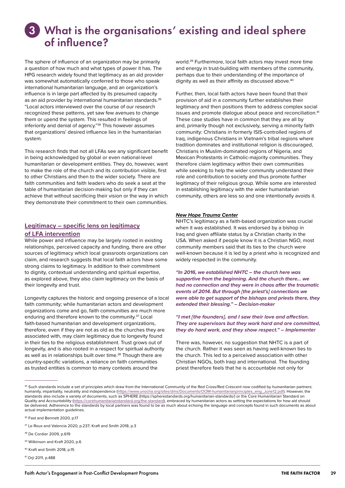# <span id="page-28-0"></span>What is the organisations' existing and ideal sphere 3of influence?

The sphere of influence of an organization may be primarily a question of how much and what types of power it has. The HPG research widely found that legitimacy as an aid provider was somewhat automatically conferred to those who speak international humanitarian language, and an organization's influence is in large part affected by its presumed capacity as an aid provider by international humanitarian standards.<sup>35</sup> "Local actors interviewed over the course of our research recognized these patterns, yet saw few avenues to change them or upend the system. This resulted in feelings of inferiority and denial of agency."36 This however assumes that organizations' desired influence lies in the humanitarian system.

This research finds that not all LFAs see any significant benefit in being acknowledged by global or even national-level humanitarian or development entities. They do, however, want to make the role of the church and its contribution visible, first to other Christians and then to the wider society. There are faith communities and faith leaders who do seek a seat at the table of humanitarian decision-making but only if they can achieve that without sacrificing their vision or the way in which they demonstrate their commitment to their own communities.

### **Legitimacy – specific lens on legitimacy of LFA intervention**

While power and influence may be largely rooted in existing relationships, perceived capacity and funding, there are other sources of legitimacy which local grassroots organizations can claim, and research suggests that local faith actors have some strong claims to legitimacy. In addition to their commitment to dignity, contextual understanding and spiritual expertise, as explored above, they also claim legitimacy on the basis of their longevity and trust.

Longevity captures the historic and ongoing presence of a local faith community; while humanitarian actors and development organizations come and go, faith communities are much more enduring and therefore known to the community.37 Local faith-based humanitarian and development organizations, therefore, even if they are not as old as the churches they are associated with, may claim legitimacy due to longevity found in their ties to the religious establishment. Trust grows out of longevity, and is also rooted in a respect for spiritual authority as well as in relationships built over time.<sup>38</sup> Though there are country-specific variations, a reliance on faith communities as trusted entities is common to many contexts around the

world.39 Furthermore, local faith actors may invest more time and energy in trust-building with members of the community, perhaps due to their understanding of the importance of dignity as well as their affinity as discussed above.<sup>40</sup>

Further, then, local faith actors have been found that their provision of aid in a community further establishes their legitimacy and then positions them to address complex social issues and promote dialogue about peace and reconciliation.<sup>41</sup> These case studies have in common that they are all by and, primarily though not exclusively, serving a minority faith community: Christians in formerly ISIS-controlled regions of Iraq, indigenous Christians in Vietnam's tribal regions where tradition dominates and institutional religion is discouraged, Christians in Muslim-dominated regions of Nigeria, and Mexican Protestants in Catholic-majority communities. They therefore claim legitimacy within their own communities while seeking to help the wider community understand their role and contribution to society and thus promote further legitimacy of their religious group. While some are interested in establishing legitimacy with the wider humanitarian community, others are less so and one intentionally avoids it.

#### *New Hope Trauma Center*

NHTC's legitimacy as a faith-based organization was crucial when it was established. It was endorsed by a bishop in Iraq and given affiliate status by a Christian charity in the USA. When asked if people know it is a Christian NGO, most community members said that its ties to the church were well-known because it is led by a priest who is recognized and widely respected in the community.

*"In 2016, we established NHTC – the church here was supportive from the beginning. And the church there… we had no connection and they were in chaos after the traumatic events of 2014. But through [the priest's] connections we were able to get support of the bishops and priests there, they extended their blessing." – Decision-maker*

*"I met [the founders], and I saw their love and affection. They are supervisors but they work hard and are committed, they do hard work, and they show respect." – Implementer*

There was, however, no suggestion that NHTC is a part of the church. Rather it was seen as having well-known ties to the church. This led to a perceived association with other Christian NGOs, both Iraqi and international. The founding priest therefore feels that he is accountable not only for

- 38 De Cordier 2009, p.619
- 39 Wilkinson and Kraft 2020, p.6
- 40 Kraft and Smith 2018, p.15
- 41 Orji 2011, p.488

<sup>&</sup>lt;sup>35</sup> Such standards include a set of principles which draw from the International Community of the Red Cross/Red Crescent now codified by humanitarian partners: humanity, impartiality, neutrality and independence [\(https://www.unocha.org/sites/dms/Documents/OOM-humanitarianprinciples\\_eng\\_June12.pdf\)](https://www.unocha.org/sites/dms/Documents/OOM-humanitarianprinciples_eng_June12.pdf). However, the standards also include a variety of documents, such as SPHERE (https://spherestandards.org/humanitarian-standards/) or the Core Humanitarian Standard on Quality and Accountability ([https://corehumanitarianstandard.org/the-standard\)](https://corehumanitarianstandard.org/the-standard), embraced by humanitarian actors as setting the expectations for how aid should be delivered. Adherence to the standards by local partners was found to be as much about echoing the language and concepts found in such documents as about actual implementation guidelines.

<sup>&</sup>lt;sup>36</sup> Fast and Bennett 2020, p.17

<sup>&</sup>lt;sup>37</sup> Le Roux and Valencia 2020, p.237; Kraft and Smith 2018, p.3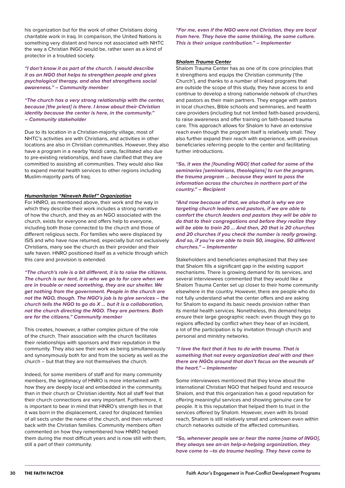his organization but for the work of other Christians doing charitable work in Iraq. In comparison, the United Nations is something very distant and hence not associated with NHTC the way a Christian INGO would be, rather seen as a kind of protector in a troubled society.

*"I don't know it as part of the church. I would describe it as an NGO that helps to strengthen people and gives psychological therapy, and also that strengthens social awareness." – Community member*

*"The church has a very strong relationship with the center, because [the priest] is there. I know about their Christian identity because the center is here, in the community." – Community stakeholder*

Due to its location in a Christian-majority village, most of NHTC's activities are with Christians, and activities in other locations are also in Christian communities. However, they also have a program in a nearby Yazidi camp, facilitated also due to pre-existing relationships, and have clarified that they are committed to assisting all communities. They would also like to expand mental health services to other regions including Muslim-majority parts of Iraq.

#### *Humanitarian "Nineveh Relief" Organization*

For HNRO, as mentioned above, their work and the way in which they describe their work includes a strong narrative of how the church, and they as an NGO associated with the church, exists for everyone and offers help to everyone, including both those connected to the church and those of different religious sects. For families who were displaced by ISIS and who have now returned, especially but not exclusively Christians, many see the church as their provider and their safe haven. HNRO positioned itself as a vehicle through which this care and provision is extended.

*"The church's role is a bit different, it is to raise the citizens. The church is our tent, it is who we go to for care when we are in trouble or need something, they are our shelter. We get nothing from the government. People in the church are not the NGO, though. The NGO's job is to give services – the church tells the NGO to go do X … but it is a collaboration, not the church directing the NGO. They are partners. Both are for the citizens." Community member*

This creates, however, a rather complex picture of the role of the church. Their association with the church facilitates their relationships with sponsors and their reputation in the community. They also see their work as being simultaneously and synonymously both for and from the society as well as the church – but that they are not themselves the church.

Indeed, for some members of staff and for many community members, the legitimacy of HNRO is more intertwined with how they are deeply local and embedded in the community, than in their church or Christian identity. Not all staff feel that their church connections are very important. Furthermore, it is important to bear in mind that HNRO's strength lies in that it was born in the displacement, cared for displaced families of all sects under the name of the church, and then returned back with the Christian families. Community members often commented on how they remembered how HNRO helped them during the most difficult years and is now still with them, still a part of their community.

*"For me, even if the NGO were not Christian, they are local from here. They have the same thinking, the same culture. This is their unique contribution." – Implementer*

### *Shalom Trauma Center*

Shalom Trauma Center has as one of its core principles that it strengthens and equips the Christian community ('the Church'), and thanks to a number of linked programs that are outside the scope of this study, they have access to and continue to develop a strong nationwide network of churches and pastors as their main partners. They engage with pastors in local churches, Bible schools and seminaries, and health care providers (including but not limited faith-based providers), to raise awareness and offer training on faith-based trauma care. This approach allows for Shalom to have an extensive reach even though the program itself is relatively small. They also further expand their reach with experience, with previous beneficiaries referring people to the center and facilitating further introductions.

*"So, it was the [founding NGO] that called for some of the seminaries [seminarians, theologians] to run the program, the trauma program … because they want to pass the information across the churches in northern part of the country." – Recipient*

*"And now because of that, we also-that is why we are targeting church leaders and pastors, if we are able to comfort the church leaders and pastors they will be able to do that to their congregations and before they realize they will be able to train 20 … And then, 20 that is 20 churches and 20 churches if you check the number is really growing. And so, if you're are able to train 50, imagine, 50 different churches." – Implementer*

Stakeholders and beneficiaries emphasized that they see that Shalom fills a significant gap in the existing support mechanisms. There is growing demand for its services, and several interviewees commented that they would like a Shalom Trauma Center set up closer to their home community elsewhere in the country. However, there are people who do not fully understand what the center offers and are asking for Shalom to expand its basic needs provision rather than its mental health services. Nonetheless, this demand helps ensure their large geographic reach: even though they go to regions affected by conflict when they hear of an incident, a lot of the participation is by invitation through church and personal and ministry networks.

#### *"I love the fact that it has to do with trauma. That is something that not every organization deal with and then there are NGOs around that don't focus on the wounds of the heart." – Implementer*

Some interviewees mentioned that they know about the international Christian NGO that helped found and resource Shalom, and that this organization has a good reputation for offering meaningful services and showing genuine care for people. It is this reputation that helped them to trust in the services offered by Shalom. However, even with its broad reach, Shalom is still relatively small and unknown even within church networks outside of the affected communities.

*"So, whenever people see or hear the name [name of INGO], they always see an-an help-a-helping organization, they have come to –to do trauma healing. They have come to*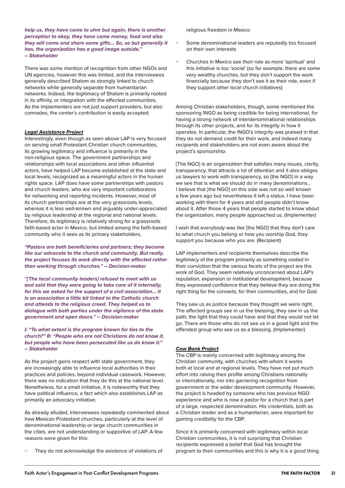*help us, they have come to uhm but again, there is another perception to okay, they have come money, food and also they will come and share some gifts… So, so but generally it has, the organization has a good image outside." – Stakeholder*

There was some mention of recognition from other NGOs and UN agencies, however this was limited, and the interviewees generally described Shalom as strongly linked to church networks while generally separate from humanitarian networks. Indeed, the legitimacy of Shalom is primarily rooted in its affinity, or integration with the affected communities. As the implementers are not just support providers, but also comrades, the center's contribution is easily accepted.

#### *Legal Assistance Project*

Interestingly, even though as seen above LAP is very focused on serving small Protestant Christian church communities, its growing legitimacy and influence is primarily in the non-religious space. The government partnerships and relationships with local associations and other influential actors, have helped LAP become established at the state and local levels, recognized as a meaningful actors in the human rights space. LAP does have some partnerships with pastors and church leaders, who are very important collaborators for networking and reporting incidents. However, most of its church partnerships are at the very grassroots levels, whereas it is less well-known and arguably under-appreciated by religious leadership at the regional and national levels. Therefore, its legitimacy is relatively strong for a grassroots faith-based actor in Mexico, but limited among the faith-based community who it sees as its primary stakeholders.

*"Pastors are both beneficiaries and partners; they become like our advocate to the church and community. But really, the project focuses its work directly with the affected rather than working through churches." – Decision-maker*

*"[The local community leaders] refused to meet with us and said that they were going to take care of it internally, for this we asked for the support of a civil association… it is an association a little bit linked to the Catholic church and attends to the religious creed. They helped us to dialogue with both parties under the vigilance of the state government and open doors." – Decision-maker*

*I: "To what extent is the program known for ties to the church?" R: "People who are not Christians do not know it, but people who have been persecuted like us do know it." – Stakeholder*

As the project gains respect with state government, they are increasingly able to influence local authorities in their practices and policies, beyond individual casework. However, there was no indication that they do this at the national level. Nonetheless, for a small initiative, it is noteworthy that they have political influence, a fact which also establishes LAP as primarily an advocacy initiative.

As already alluded, Interviewees repeatedly commented about how Mexican Protestant churches, particularly at the level of denominational leadership or large church communities in the cities, are not understanding or supportive of LAP. A few reasons were given for this:

They do not acknowledge the existence of violations of

religious freedom in Mexico

- Some denominational leaders are reputedly too focused on their own interests
- − Churches in Mexico see their role as more 'spiritual' and this initiative is too 'social' (so for example, there are some very wealthy churches, but they don't support the work financially because they don't see it as their role, even if they support other local church initiatives)

Among Christian stakeholders, though, some mentioned the sponsoring INGO as being credible for being international, for having a strong network of interdenominational relationships through its other projects, and for its integrity in how it operates. In particular, the INGO's integrity was praised in that they do not demand credit for their work, and indeed many recipients and stakeholders are not even aware about the project's sponsorship.

[The NGO] is an organization that satisfies many issues, clarity, transparency, that attracts a lot of attention and it also obliges us lawyers to work with transparency, so [the NGO] in a way we see that is what we should do in many denominations… I believe that [the NGO] on this side was not so well known a few years ago but nevertheless it left a status. I have been working with them for 4 years and still people didn't know about it. After those 4 years that people started to know about the organization, many people approached us. (Implementer)

I wish that everybody was like [the NGO] that they don't care to what church you belong or how you worship God, they support you because who you are. (Recipient)

LAP implementers and recipients themselves describe the legitimacy of the program primarily as something rooted in their conviction that the various facets of the project are the work of God. They seem relatively unconcerned about LAP's reputation, expansion or institutional development, because they expressed confidence that they believe they are doing the right thing for the converts, for their communities, and for God.

They saw us as justice because they thought we were right. The affected groups see in us the blessing, they saw in us the path, the light that they could have and that they would not let go. There are those who do not see us in a good light and the offended group who see us as a blessing. (Implementer)

#### *Cow Bank Project*

The CBP is mainly concerned with legitimacy among the Christian community, with churches with whom it works both at local and at regional levels. They have not put much effort into raising their profile among Christians nationally or internationally, nor into garnering recognition from government or the wider development community. However, the project is headed by someone who has previous NGO experience and who is now a pastor for a church that is part of a large, respected denomination. His credentials, both as a Christian leader and as a humanitarian, were important for gaining credibility for the CBP.

Since it is primarily concerned with legitimacy within local Christian communities, it is not surprising that Christian recipients expressed a belief that God has brought the program to their communities and this is why it is a good thing.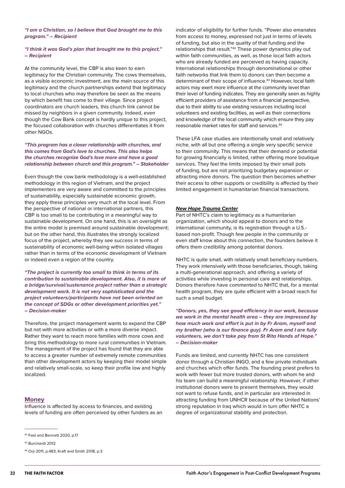<span id="page-31-0"></span>*"I am a Christian, so I believe that God brought me to this program." – Recipient*

#### *"I think it was God's plan that brought me to this project." – Recipient*

At the community level, the CBP is also keen to earn legitimacy for the Christian community. The cows themselves, as a visible economic investment, are the main source of this legitimacy and the church partnerships extend that legitimacy to local churches who may therefore be seen as the means by which benefit has come to their village. Since project coordinators are church leaders, this church link cannot be missed by neighbors in a given community. Indeed, even though the Cow Bank concept is hardly unique to this project, the focused collaboration with churches differentiates it from other NGOs.

#### *"This program has a closer relationship with churches, and this comes from God's love to churches. This also helps the churches recognize God's love more and have a good relationship between church and this program." – Stakeholder*

Even though the cow bank methodology is a well-established methodology in this region of Vietnam, and the project implementers are very aware and committed to the principles of sustainability, especially sustainable economic growth, they apply these principles very much at the local level. From the perspective of national or international partners, this CBP is too small to be contributing in a meaningful way to sustainable development. On one hand, this is an oversight as the entire model is premised around sustainable development; but on the other hand, this illustrates the strongly localized focus of the project, whereby they see success in terms of sustainability of economic well-being within isolated villages rather than in terms of the economic development of Vietnam or indeed even a region of the country.

*"The project is currently too small to think in terms of its contribution to sustainable development. Also, it is more of a bridge/survival/sustenance project rather than a strategic development work. It is not very sophisticated and the project volunteers/participants have not been oriented on the concept of SDGs or other development priorities yet." – Decision-maker*

Therefore, the project management wants to expand the CBP but not with more activities or with a more diverse impact. Rather they want to reach more families with more cows and bring this methodology to more rural communities in Vietnam. The management of the project has found that they are able to access a greater number of extremely remote communities than other development actors by keeping their model simple and relatively small-scale, so keep their profile low and highly localized.

#### **Money**

Influence is affected by access to finances, and existing levels of funding are often perceived by other funders as an

indicator of eligibility for further funds. "Power also emanates from access to money, expressed not just in terms of levels of funding, but also in the quality of that funding and the relationships that result."42 These power dynamics play out within faith communities, as well, as those local faith actors who are already funded are perceived as having capacity. International relationships through denominational or other faith networks that link them to donors can then become a determinant of their scope of influence.<sup>43</sup> However, local faith actors may exert more influence at the community level than their level of funding indicates. They are generally seen as highly efficient providers of assistance from a financial perspective, due to their ability to use existing resources including local volunteers and existing facilities, as well as their connections and knowledge of the local community which ensure they pay reasonable market rates for staff and services.44

These LFA case studies are intentionally small and relatively niche, with all but one offering a single very specific service to their community. This means that their demand or potential for growing financially is limited, rather offering more boutique services. They feel the limits imposed by their small pots of funding, but are not prioritizing budgetary expansion or attracting more donors. The question then becomes whether their access to other supports or credibility is affected by their limited engagement in humanitarian financial transactions.

#### *New Hope Trauma Center*

Part of NHTC's claim to legitimacy as a humanitarian organization, which should appeal to donors and to the international community, is its registration through a U.S. based non-profit. Though few people in the community or even staff know about this connection, the founders believe it offers them credibility among potential donors.

NHTC is quite small, with relatively small beneficiary numbers. They work intensively with those beneficiaries, though, taking a multi-generational approach, and offering a variety of activities while investing in personal care and relationships. Donors therefore have commented to NHTC that, for a mental health program, they are quite efficient with a broad reach for such a small budget.

*"Donors, yes, they see good efficiency in our work, because we work in the mental health area – they are impressed by how much work and effort is put in by Fr Aram, myself and my brother (who is our finance guy). Fr Aram and I are fully volunteers, we don't take pay from St Rita Hands of Hope." – Decision-maker*

Funds are limited, and currently NHTC has one consistent donor through a Christian INGO, and a few private individuals and churches which offer funds. The founding priest prefers to work with fewer but more trusted donors, with whom he and his team can build a meaningful relationship. However, if other institutional donors were to present themselves, they would not want to refuse funds, and in particular are interested in attracting funding from UNHCR because of the United Nations' strong reputation in Iraq which would in turn offer NHTC a degree of organizational stability and protection.

<sup>42</sup> Fast and Bennett 2020, p.17

<sup>43</sup> Burchardt 2012

<sup>44</sup> Orji 2011, p.483; Kraft and Smith 2018, p.3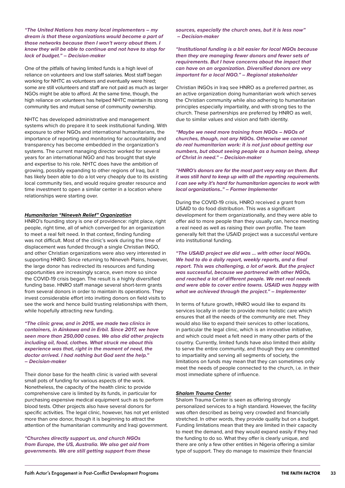*"The United Nations has many local implementers – my dream is that these organizations would become a part of those networks because then I won't worry about them. I know they will be able to continue and not have to stop for lack of budget." – Decision-maker*

One of the pitfalls of having limited funds is a high level of reliance on volunteers and low staff salaries. Most staff began working for NHTC as volunteers and eventually were hired; some are still volunteers and staff are not paid as much as larger NGOs might be able to afford. At the same time, though, the high reliance on volunteers has helped NHTC maintain its strong community ties and mutual sense of community ownership.

NHTC has developed administrative and management systems which do prepare it to seek institutional funding. With exposure to other NGOs and international humanitarians, the importance of reporting and monitoring for accountability and transparency has become embedded in the organization's systems. The current managing director worked for several years for an international NGO and has brought that style and expertise to his role. NHTC does have the ambition of growing, possibly expanding to other regions of Iraq, but it has likely been able to do a lot very cheaply due to its existing local community ties, and would require greater resource and time investment to open a similar center in a location where relationships were starting over.

#### *Humanitarian "Nineveh Relief" Organization*

HNRO's founding story is one of providence: right place, right people, right time, all of which converged for an organization to meet a real felt need. In that context, finding funding was not difficult. Most of the clinic's work during the time of displacement was funded through a single Christian INGO, and other Christian organizations were also very interested in supporting HNRO. Since returning to Nineveh Plains, however, the large donor has redirected its resources and funding opportunities are increasingly scarce, even more so since the COVID-19 crisis began. The result is a highly diversified funding base. HNRO staff manage several short-term grants from several donors in order to maintain its operations. They invest considerable effort into inviting donors on field visits to see the work and hence build trusting relationships with them, while hopefully attracting new funding.

*"The clinic grew, and in 2015, we made two clinics in containers, in Ainkawa and in Erbil. Since 2017, we have seen more than 250,000 cases. We also did other projects including oil, food, clothes. What struck me about this experience was that, right in the moment of need, the doctor arrived. I had nothing but God sent the help." – Decision-maker*

Their donor base for the health clinic is varied with several small pots of funding for various aspects of the work. Nonetheless, the capacity of the health clinic to provide comprehensive care is limited by its funds, in particular for purchasing expensive medical equipment such as to perform blood tests. Other projects also have several donors for specific activities. The legal clinic, however, has not yet enlisted more than one donor, though it is beginning to attract the attention of the humanitarian community and Iraqi government.

*"Churches directly support us, and church NGOs from Europe, the US, Australia. We also get aid from governments. We are still getting support from these*  *sources, especially the church ones, but it is less now" – Decision-maker*

*"Institutional funding is a bit easier for local NGOs because then they are managing fewer donors and fewer sets of requirements. But I have concerns about the impact that can have on an organization. Diversified donors are very important for a local NGO." – Regional stakeholder*

Christian INGOs in Iraq see HNRO as a preferred partner, as an active organization doing humanitarian work which serves the Christian community while also adhering to humanitarian principles especially impartiality, and with strong ties to the church. These partnerships are preferred by HNRO as well, due to similar values and vision and faith identity.

*"Maybe we need more training from NGOs – NGOs of churches, though, not any NGOs. Otherwise we cannot do real humanitarian work: it is not just about getting our numbers, but about seeing people as a human being, sheep of Christ in need." – Decision-maker*

*"HNRO's donors are for the most part very easy on them. But it was still hard to keep up with all the reporting requirements. I can see why it's hard for humanitarian agencies to work with local organizations.." – Former Implementer*

During the COVID-19 crisis, HNRO received a grant from USAID to do food distribution. This was a significant development for them organizationally, and they were able to offer aid to more people than they usually can, hence meeting a real need as well as raising their own profile. The team generally felt that the USAID project was a successful venture into institutional funding.

*"The USAID project we did was … with other local NGOs. We had to do a daily report, weekly reports, and a final report. This was challenging, a lot of work. But the project was successful, because we partnered with other NGOs, and reached a lot of different people. We met real needs and were able to cover entire towns. USAID was happy with what we achieved through the project." – Implementer*

In terms of future growth, HNRO would like to expand its services locally in order to provide more holistic care which ensures that all the needs of the community are met. They would also like to expand their services to other locations, in particular the legal clinic, which is an innovative initiative, and which could meet a felt need in many other parts of the country. Currently, limited funds have also limited their ability to serve the entire community, and though they are committed to impartiality and serving all segments of society, the limitations on funds may mean that they can sometimes only meet the needs of people connected to the church, i.e. in their most immediate sphere of influence.

#### *Shalom Trauma Center*

Shalom Trauma Center is seen as offering strongly personalized services to a high standard. However, the facility was often described as being very crowded and financially stretched. In other words, they provide quality but on a budget. Funding limitations mean that they are limited in their capacity to meet the demand, and they would expand easily if they had the funding to do so. What they offer is clearly unique, and there are only a few other entities in Nigeria offering a similar type of support. They do manage to maximize their financial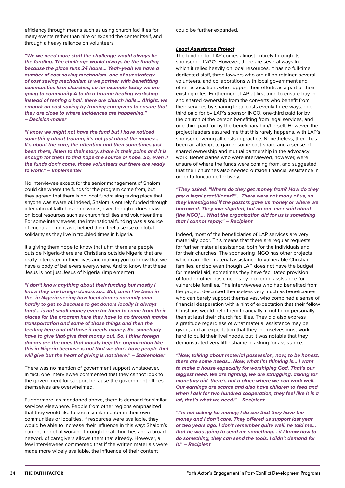efficiency through means such as using church facilities for many events rather than hire or expand the center itself, and through a heavy reliance on volunteers.

*"We-we need more staff the challenge would always be the funding. The challenge would always be the funding because the place runs 24 hours… Yeah-yeah we have a number of cost saving mechanism, one of our strategy of cost saving mechanism is we partner with benefitting communities like; churches, so for example today we are going to community A to do a trauma healing workshop instead of renting a hall, there are church halls… Alright, we embark on cost saving by training caregivers to ensure that they are close to where incidences are happening." – Decision-maker*

*"I know we might not have the fund but I have noticed something about trauma, it's not just about the money… It's about the care, the attention and then sometimes just been there, listen to their story, share in their pains and it is enough for them to find hope-the source of hope. So, even if the funds don't come, those volunteers out there are ready to work." – Implementer*

No interviewee except for the senior management of Shalom could cite where the funds for the program come from, but they agreed that there is no local fundraising taking place that anyone was aware of. Indeed, Shalom is entirely funded through international faith-based networks, even though it does draw on local resources such as church facilities and volunteer time. For some interviewees, the international funding was a source of encouragement as it helped them feel a sense of global solidarity as they live in troubled times in Nigeria.

It's giving them hope to know that uhm there are people outside Nigeria-there are Christians outside Nigeria that are really interested in their lives and making you to know that we have a body of believers everywhere. And to know that these Jesus is not just Jesus of Nigeria. (Implementer)

*"I don't know anything about their funding but mostly I know they are foreign donors so… But, umm I've been in the–in Nigeria seeing how local donors normally umm hardly to get so because to get donors locally is always hard… is not small money even for them to come from their places for the program here they have to go through maybe transportation and some of those things and then the feeding here and all those it needs money. So, somebody have to give that-give that money out. So, I think foreign donors are the ones that mostly help the organization like this in Nigeria because is not that we don't have people that will give but the heart of giving is not there." – Stakeholder*

There was no mention of government support whatsoever. In fact, one interviewee commented that they cannot look to the government for support because the government offices themselves are overwhelmed.

Furthermore, as mentioned above, there is demand for similar services elsewhere. People from other regions emphasized that they would like to see a similar center in their own communities or localities. If resources were available, they would be able to increase their influence in this way; Shalom's current model of working through local churches and a broad network of caregivers allows them that already. However, a few interviewees commented that if the written materials were made more widely available, the influence of their content

could be further expanded.

#### *Legal Assistance Project*

The funding for LAP comes almost entirely through its sponsoring INGO. However, there are several ways in which it relies heavily on local resources. It has no full-time dedicated staff, three lawyers who are all on retainer, several volunteers, and collaborations with local government and other associations who support their efforts as a part of their existing roles. Furthermore, LAP at first tried to ensure buy-in and shared ownership from the converts who benefit from their services by sharing legal costs evenly three ways: onethird paid for by LAP's sponsor INGO, one-third paid for by the church of the person benefiting from legal services, and one-third paid for by the beneficiary him/herself. However, the project leaders assured me that this rarely happens, with LAP's sponsor covering all costs in practice. Nonetheless, there has been an attempt to garner some cost-share and a sense of shared ownership and mutual partnership in the advocacy work. Beneficiaries who were interviewed, however, were unsure of where the funds were coming from, and suggested that their churches also needed outside financial assistance in order to function effectively.

*"They asked, "Where do they get money from? How do they pay a legal practitioner?"… There were not many of us, so they investigated if the pastors gave us money or where we borrowed. They investigated, but no one ever said about [the NGO]…. What the organization did for us is something that I cannot repay." – Recipient*

Indeed, most of the beneficiaries of LAP services are very materially poor. This means that there are regular requests for further material assistance, both for the individuals and for their churches. The sponsoring INGO has other projects which can offer material assistance to vulnerable Christian families, and so even though LAP does not have the budget for material aid, sometimes they have facilitated provision of food or other basic needs by brokering assistance for vulnerable families. The interviewees who had benefited from the project described themselves very much as beneficiaries who can barely support themselves, who combined a sense of financial desperation with a hint of expectation that their fellow Christians would help them financially, if not them personally then at least their church facilities. They did also express a gratitude regardless of what material assistance may be given, and an expectation that they themselves must work hard to build their livelihoods, but it was notable that they demonstrated very little shame in asking for assistance.

*"Now, talking about material possession, now, to be honest, there are some needs... Now, what I'm thinking is… I want to make a house especially for worshiping God. That's our biggest need. We are fighting, we are struggling, asking for monetary aid, there's not a place where we can work well. Our earnings are scarce and also have children to feed and when I ask for two hundred cooperation, they feel like it is a lot, that's what we need." – Recipient*

*"I'm not asking for money; I do see that they have the money and I don't care. They offered us support last year or two years ago, I don't remember quite well, he told me… that he was going to send me something… if I know how to do something, they can send the tools. I didn't demand for it." – Recipient*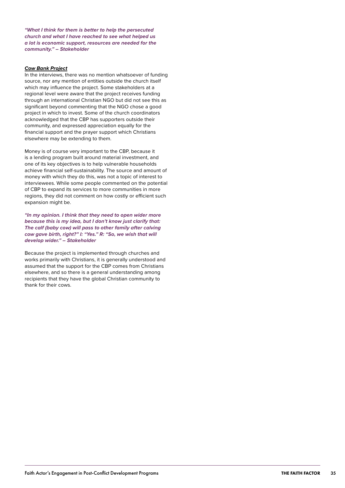*"What I think for them is better to help the persecuted church and what I have reached to see what helped us a lot is economic support, resources are needed for the community." – Stakeholder*

#### *Cow Bank Project*

In the interviews, there was no mention whatsoever of funding source, nor any mention of entities outside the church itself which may influence the project. Some stakeholders at a regional level were aware that the project receives funding through an international Christian NGO but did not see this as significant beyond commenting that the NGO chose a good project in which to invest. Some of the church coordinators acknowledged that the CBP has supporters outside their community, and expressed appreciation equally for the financial support and the prayer support which Christians elsewhere may be extending to them.

Money is of course very important to the CBP, because it is a lending program built around material investment, and one of its key objectives is to help vulnerable households achieve financial self-sustainability. The source and amount of money with which they do this, was not a topic of interest to interviewees. While some people commented on the potential of CBP to expand its services to more communities in more regions, they did not comment on how costly or efficient such expansion might be.

*"In my opinion. I think that they need to open wider more because this is my idea, but I don't know just clarify that: The calf (baby cow) will pass to other family after calving cow gave birth, right?" I: "Yes." R: "So, we wish that will develop wider." – Stakeholder*

Because the project is implemented through churches and works primarily with Christians, it is generally understood and assumed that the support for the CBP comes from Christians elsewhere, and so there is a general understanding among recipients that they have the global Christian community to thank for their cows.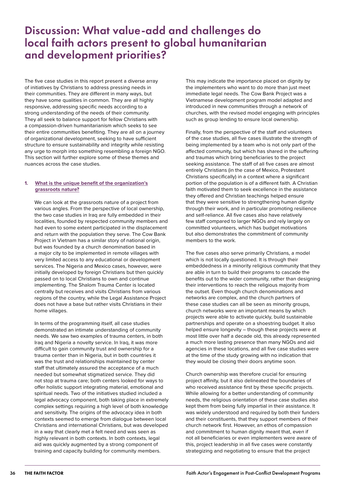# <span id="page-35-0"></span>Discussion: What value-add and challenges do local faith actors present to global humanitarian and development priorities?

The five case studies in this report present a diverse array of initiatives by Christians to address pressing needs in their communities. They are different in many ways, but they have some qualities in common. They are all highly responsive, addressing specific needs according to a strong understanding of the needs of their community. They all seek to balance support for fellow Christians with a compassion-driven humanitarianism which seeks to see their entire communities benefiting. They are all on a journey of organizational development, seeking to have sufficient structure to ensure sustainability and integrity while resisting any urge to morph into something resembling a foreign NGO. This section will further explore some of these themes and nuances across the case studies.

### **1. What is the unique benefit of the organization's grassroots nature?**

We can look at the grassroots nature of a project from various angles. From the perspective of local ownership, the two case studies in Iraq are fully embedded in their localities, founded by respected community members and had even to some extent participated in the displacement and return with the population they serve. The Cow Bank Project in Vietnam has a similar story of national origin, but was founded by a church denomination based in a major city to be implemented in remote villages with very limited access to any educational or development services. The Nigeria and Mexico cases, however, were initially developed by foreign Christians but then quickly passed on to local Christians to own and continue implementing. The Shalom Trauma Center is located centrally but receives and visits Christians from various regions of the country, while the Legal Assistance Project does not have a base but rather visits Christians in their home villages.

In terms of the programming itself, all case studies demonstrated an intimate understanding of community needs. We saw two examples of trauma centers, in both Iraq and Nigeria a novelty service. In Iraq, it was more difficult to gain community trust and ownership for a trauma center than in Nigeria, but in both countries it was the trust and relationships maintained by center staff that ultimately assured the acceptance of a much needed but somewhat stigmatized service. They did not stop at trauma care; both centers looked for ways to offer holistic support integrating material, emotional and spiritual needs. Two of the initiatives studied included a legal advocacy component, both taking place in extremely complex settings requiring a high level of both knowledge and sensitivity. The origins of the advocacy idea in both contexts seemed to emerge from dialogue between local Christians and international Christians, but was developed in a way that clearly met a felt need and was seen as highly relevant in both contexts. In both contexts, legal aid was quickly augmented by a strong component of training and capacity building for community members.

This may indicate the importance placed on dignity by the implementers who want to do more than just meet immediate legal needs. The Cow Bank Project was a Vietnamese development program model adapted and introduced in new communities through a network of churches, with the revised model engaging with principles such as group lending to ensure local ownership.

Finally, from the perspective of the staff and volunteers of the case studies, all five cases illustrate the strength of being implemented by a team who is not only part of the affected community, but which has shared in the suffering and traumas which bring beneficiaries to the project seeking assistance. The staff of all five cases are almost entirely Christians (in the case of Mexico, Protestant Christians specifically) in a context where a significant portion of the population is of a different faith. A Christian faith motivated them to seek excellence in the assistance they offered and Christian teachings helped ensure that they were sensitive to strengthening human dignity through their work, and in particular promoting resilience and self-reliance. All five cases also have relatively few staff compared to larger NGOs and rely largely on committed volunteers, which has budget motivations but also demonstrates the commitment of community members to the work.

The five cases also serve primarily Christians, a model which is not locally questioned. It is through their embeddedness in a minority religious community that they are able in turn to build their programs to cascade the benefits out to the wider community, rather than designing their interventions to reach the religious majority from the outset. Even though church denominations and networks are complex, and the church partners of these case studies can all be seen as minority groups, church networks were an important means by which projects were able to activate quickly, build sustainable partnerships and operate on a shoestring budget. It also helped ensure longevity – though these projects were at most little over half a decade old, this already represented a much more lasting presence than many NGOs and aid agencies in these locations, and all five case studies were at the time of the study growing with no indication that they would be closing their doors anytime soon.

Church ownership was therefore crucial for ensuring project affinity, but it also delineated the boundaries of who received assistance first by these specific projects. While allowing for a better understanding of community needs, the religious orientation of these case studies also kept them from being fully impartial in their assistance. It was widely understood and required by both their funders and their constituents, that they support members of their church network first. However, an ethos of compassion and commitment to human dignity meant that, even if not all beneficiaries or even implementers were aware of this, project leadership in all five cases were constantly strategizing and negotiating to ensure that the project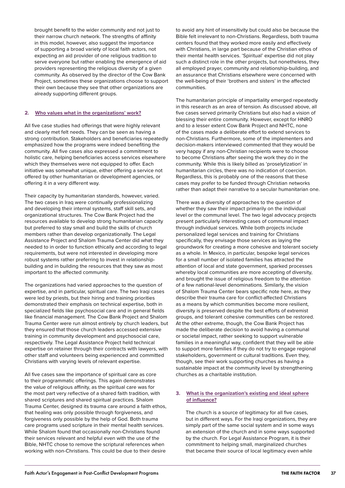<span id="page-36-0"></span>brought benefit to the wider community and not just to their narrow church network. The strengths of affinity in this model, however, also suggest the importance of supporting a broad variety of local faith actors, not expecting an aid provider of one religious tradition to serve everyone but rather enabling the emergence of aid providers representing the religious diversity of a given community. As observed by the director of the Cow Bank Project, sometimes these organizations choose to support their own because they see that other organizations are already supporting different groups.

#### **2. Who values what in the organizations' work?**

All five case studies had offerings that were highly relevant and clearly met felt needs. They can be seen as having a strong contribution. Stakeholders and beneficiaries repeatedly emphasized how the programs were indeed benefiting the community. All five cases also expressed a commitment to holistic care, helping beneficiaries access services elsewhere which they themselves were not equipped to offer. Each initiative was somewhat unique, either offering a service not offered by other humanitarian or development agencies, or offering it in a very different way.

Their capacity by humanitarian standards, however, varied. The two cases in Iraq were continually professionalizing and developing their internal systems, staff skill sets, and organizational structures. The Cow Bank Project had the resources available to develop strong humanitarian capacity but preferred to stay small and build the skills of church members rather than develop organizationally. The Legal Assistance Project and Shalom Trauma Center did what they needed to in order to function ethically and according to legal requirements, but were not interested in developing more robust systems rather preferring to invest in relationshipbuilding and in building the resources that they saw as most important to the affected community.

The organizations had varied approaches to the question of expertise, and in particular, spiritual care. The two Iraqi cases were led by priests, but their hiring and training priorities demonstrated their emphasis on technical expertise, both in specialized fields like psychosocial care and in general fields like financial management. The Cow Bank Project and Shalom Trauma Center were run almost entirely by church leaders, but they ensured that those church leaders accessed extensive training in community development and psychosocial care, respectively. The Legal Assistance Project held technical expertise on retainer through their contracts with lawyers, with other staff and volunteers being experienced and committed Christians with varying levels of relevant expertise.

All five cases saw the importance of spiritual care as core to their programmatic offerings. This again demonstrates the value of religious affinity, as the spiritual care was for the most part very reflective of a shared faith tradition, with shared scriptures and shared spiritual practices. Shalom Trauma Center, designed its trauma care around a faith ethos, that healing was only possible through forgiveness, and forgiveness only possible by the help of God. Both trauma care programs used scripture in their mental health services. While Shalom found that occasionally non-Christians found their services relevant and helpful even with the use of the Bible, NHTC chose to remove the scriptural references when working with non-Christians. This could be due to their desire to avoid any hint of insensitivity but could also be because the Bible felt irrelevant to non-Christians. Regardless, both trauma centers found that they worked more easily and effectively with Christians, in large part because of the Christian ethos of their mental health services. 'Spiritual' expertise did not play such a distinct role in the other projects, but nonetheless, they all employed prayer, community and relationship-building, and an assurance that Christians elsewhere were concerned with the well-being of their 'brothers and sisters' in the affected communities.

The humanitarian principle of impartiality emerged repeatedly in this research as an area of tension. As discussed above, all five cases served primarily Christians but also had a vision of blessing their entire community. However, except for HNRO and to a lesser extent Cow Bank Project and NHTC, none of the cases made a deliberate effort to extend services to non-Christians. Furthermore, some of the implementers and decision-makers interviewed commented that they would be very happy if any non-Christian recipients were to choose to become Christians after seeing the work they do in the community. While this is likely billed as 'proselytization' in humanitarian circles, there was no indication of coercion. Regardless, this is probably one of the reasons that these cases may prefer to be funded through Christian networks rather than adapt their narrative to a secular humanitarian one.

There was a diversity of approaches to the question of whether they saw their impact primarily on the individual level or the communal level. The two legal advocacy projects present particularly interesting cases of communal impact through individual services. While both projects include personalized legal services and training for Christians specifically, they envisage those services as laying the groundwork for creating a more cohesive and tolerant society as a whole. In Mexico, in particular, bespoke legal services for a small number of isolated families has attracted the attention of local and state government, sparked processes whereby local communities are more accepting of diversity, and brought the issue of religious freedom to the attention of a few national-level denominations. Similarly, the vision of Shalom Trauma Center bears specific note here, as they describe their trauma care for conflict-affected Christians as a means by which communities become more resilient, diversity is preserved despite the best efforts of extremist groups, and tolerant cohesive communities can be restored. At the other extreme, though, the Cow Bank Project has made the deliberate decision to avoid having a communal or societal impact, rather seeking to support vulnerable families in a meaningful way, confident that they will be able to support more families if they do not try to engage regional stakeholders, government or cultural traditions. Even they, though, see their work supporting churches as having a sustainable impact at the community level by strengthening churches as a charitable institution.

#### **3. What is the organization's existing and ideal sphere of influence?**

The church is a source of legitimacy for all five cases, but in different ways. For the Iraqi organizations, they are simply part of the same social system and in some ways an extension of the church and in some ways supported by the church. For Legal Assistance Program, it is their commitment to helping small, marginalized churches that became their source of local legitimacy even while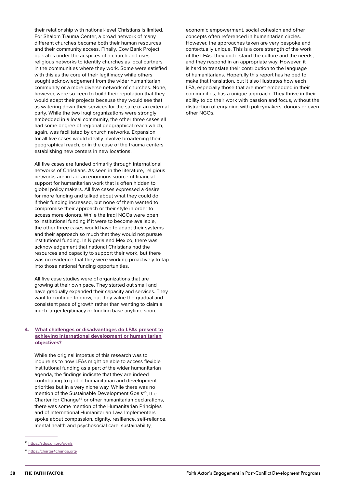<span id="page-37-0"></span>their relationship with national-level Christians is limited. For Shalom Trauma Center, a broad network of many different churches became both their human resources and their community access. Finally, Cow Bank Project operates under the auspices of a church and uses religious networks to identify churches as local partners in the communities where they work. Some were satisfied with this as the core of their legitimacy while others sought acknowledgement from the wider humanitarian community or a more diverse network of churches. None, however, were so keen to build their reputation that they would adapt their projects because they would see that as watering down their services for the sake of an external party. While the two Iraqi organizations were strongly embedded in a local community, the other three cases all had some degree of regional geographical reach which, again, was facilitated by church networks. Expansion for all five cases would ideally involve broadening their geographical reach, or in the case of the trauma centers establishing new centers in new locations.

All five cases are funded primarily through international networks of Christians. As seen in the literature, religious networks are in fact an enormous source of financial support for humanitarian work that is often hidden to global policy makers. All five cases expressed a desire for more funding and talked about what they could do if their funding increased, but none of them wanted to compromise their approach or their style in order to access more donors. While the Iraqi NGOs were open to institutional funding if it were to become available, the other three cases would have to adapt their systems and their approach so much that they would not pursue institutional funding. In Nigeria and Mexico, there was acknowledgement that national Christians had the resources and capacity to support their work, but there was no evidence that they were working proactively to tap into those national funding opportunities.

All five case studies were of organizations that are growing at their own pace. They started out small and have gradually expanded their capacity and services. They want to continue to grow, but they value the gradual and consistent pace of growth rather than wanting to claim a much larger legitimacy or funding base anytime soon.

#### **4. What challenges or disadvantages do LFAs present to achieving international development or humanitarian objectives?**

While the original impetus of this research was to inquire as to how LFAs might be able to access flexible institutional funding as a part of the wider humanitarian agenda, the findings indicate that they are indeed contributing to global humanitarian and development priorities but in a very niche way. While there was no mention of the Sustainable Development Goals<sup>45</sup>, the Charter for Change46 or other humanitarian declarations, there was some mention of the Humanitarian Principles and of International Humanitarian Law. Implementers spoke about compassion, dignity, resilience, self-reliance, mental health and psychosocial care, sustainability,

economic empowerment, social cohesion and other concepts often referenced in humanitarian circles. However, the approaches taken are very bespoke and contextually unique. This is a core strength of the work of the LFAs: they understand the culture and the needs, and they respond in an appropriate way. However, it is hard to translate their contribution to the language of humanitarians. Hopefully this report has helped to make that translation, but it also illustrates how each LFA, especially those that are most embedded in their communities, has a unique approach. They thrive in their ability to do their work with passion and focus, without the distraction of engaging with policymakers, donors or even other NGOs.

<sup>45</sup> <https://sdgs.un.org/goals>

<sup>46</sup> <https://charter4change.org/>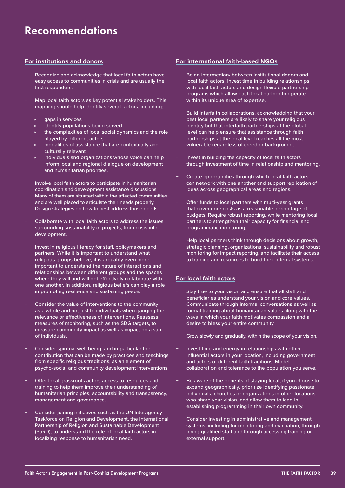# <span id="page-38-0"></span>Recommendations

### **For institutions and donors**

- Recognize and acknowledge that local faith actors have easy access to communities in crisis and are usually the first responders.
- Map local faith actors as key potential stakeholders. This mapping should help identify several factors, including:
	- gaps in services
	- identify populations being served
	- the complexities of local social dynamics and the role played by different actors
	- » modalities of assistance that are contextually and culturally relevant
	- » individuals and organizations whose voice can help inform local and regional dialogue on development and humanitarian priorities.
- − Involve local faith actors to participate in humanitarian coordination and development assistance discussions. Many of them are situated within the affected communities and are well placed to articulate their needs properly. Design strategies on how to best address those needs.
- − Collaborate with local faith actors to address the issues surrounding sustainability of projects, from crisis into development.
- Invest in religious literacy for staff, policymakers and partners. While it is important to understand what religious groups believe, it is arguably even more important to understand the nature of interactions and relationships between different groups and the spaces where they will and will not effectively collaborate with one another. In addition, religious beliefs can play a role in promoting resilience and sustaining peace.
- Consider the value of interventions to the community as a whole and not just to individuals when gauging the relevance or effectiveness of interventions. Reassess measures of monitoring, such as the SDG targets, to measure community impact as well as impact on a sum of individuals.
- Consider spiritual well-being, and in particular the contribution that can be made by practices and teachings from specific religious traditions, as an element of psycho-social and community development interventions.
- − Offer local grassroots actors access to resources and training to help them improve their understanding of humanitarian principles, accountability and transparency, management and governance.
- Consider joining initiatives such as the UN Interagency Taskforce on Religion and Development, the International Partnership of Religion and Sustainable Development (PaRD), to understand the role of local faith actors in localizing response to humanitarian need.

### **For international faith-based NGOs**

- Be an intermediary between institutional donors and local faith actors. Invest time in building relationships with local faith actors and design flexible partnership programs which allow each local partner to operate within its unique area of expertise.
- Build interfaith collaborations, acknowledging that your best local partners are likely to share your religious identity but that interfaith partnerships at the global level can help ensure that assistance through faith partnerships at the local level reaches all the most vulnerable regardless of creed or background.
- Invest in building the capacity of local faith actors through investment of time in relationship and mentoring.
- − Create opportunities through which local faith actors can network with one another and support replication of ideas across geographical areas and regions.
- − Offer funds to local partners with multi-year grants that cover core costs as a reasonable percentage of budgets. Require robust reporting, while mentoring local partners to strengthen their capacity for financial and programmatic monitoring.
- − Help local partners think through decisions about growth, strategic planning, organizational sustainability and robust monitoring for impact reporting, and facilitate their access to training and resources to build their internal systems.

### **For local faith actors**

- Stay true to your vision and ensure that all staff and beneficiaries understand your vision and core values. Communicate through informal conversations as well as formal training about humanitarian values along with the ways in which your faith motivates compassion and a desire to bless your entire community.
- Grow slowly and gradually, within the scope of your vision.
- Invest time and energy in relationships with other influential actors in your location, including government and actors of different faith traditions. Model collaboration and tolerance to the population you serve.
- Be aware of the benefits of staving local; if you choose to expand geographically, prioritize identifying passionate individuals, churches or organizations in other locations who share your vision, and allow them to lead in establishing programming in their own community.
- − Consider investing in administrative and management systems, including for monitoring and evaluation, through hiring qualified staff and through accessing training or external support.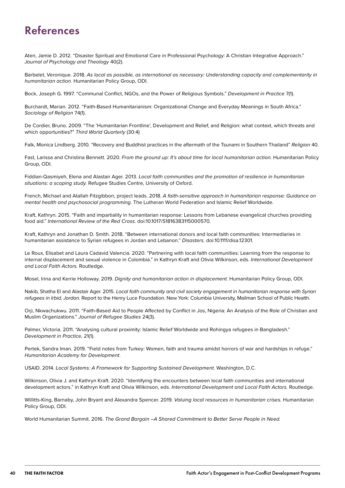# <span id="page-39-0"></span>References

Aten, Jamie D. 2012. "Disaster Spiritual and Emotional Care in Professional Psychology: A Christian Integrative Approach." *Journal of Psychology and Theology* 40(2).

Barbelet, Veronique. 2018. *As local as possible, as international as necessary: Understanding capacity and complementarity in humanitarian action.* Humanitarian Policy Group, ODI.

Bock, Joseph G. 1997. "Communal Conflict, NGOs, and the Power of Religious Symbols." *Development in Practice* 7(1).

Burchardt, Marian. 2012. "Faith-Based Humanitarianism: Organizational Change and Everyday Meanings in South Africa." *Sociology of Religion* 74(1).

De Cordier, Bruno. 2009. "The 'Humanitarian Frontline', Development and Relief, and Religion: what context, which threats and which opportunities?" *Third World Quarterly* (30:4)

Falk, Monica Lindberg. 2010. "Recovery and Buddhist practices in the aftermath of the Tsunami in Southern Thailand" *Religion* 40.

Fast, Larissa and Christina Bennett. 2020. *From the ground up: It's about time for local humanitarian action.* Humanitarian Policy Group, ODI.

Fiddian-Qasmiyeh, Elena and Alastair Ager. 2013. *Local faith communities and the promotion of resilience in humanitarian situations: a scoping study.* Refugee Studies Centre, University of Oxford.

French, Michael and Atallah Fitzgibbon, project leads. 2018. *A faith-sensitive approach in humanitarian response: Guidance on mental health and psychosocial programming.* The Lutheran World Federation and Islamic Relief Worldwide.

Kraft, Kathryn. 2015. "Faith and impartiality in humanitarian response: Lessons from Lebanese evangelical churches providing food aid." *International Review of the Red Cross.* doi:10.1017/S1816383115000570.

Kraft, Kathryn and Jonathan D. Smith. 2018. "Between international donors and local faith communities: Intermediaries in humanitarian assistance to Syrian refugees in Jordan and Lebanon." *Disasters.* doi:10.1111/disa.12301.

Le Roux, Elisabet and Laura Cadavid Valencia. 2020. "Partnering with local faith communities: Learning from the response to internal displacement and sexual violence in Colombia." in Kathryn Kraft and Olivia Wilkinson, eds. *International Development and Local Faith Actors.* Routledge.

Mosel, Irina and Kerrie Holloway. 2019. *Dignity and humanitarian action in displacement.* Humanitarian Policy Group, ODI.

Nakib, Shatha El and Alastair Ager. 2015. *Local faith community and civil society engagement in humanitarian response with Syrian refugees in Irbid, Jordan.* Report to the Henry Luce Foundation. New York: Columbia University, Mailman School of Public Health.

Orji, Nkwachukwu. 2011. "Faith-Based Aid to People Affected by Conflict in Jos, Nigeria: An Analysis of the Role of Christian and Muslim Organizations." *Journal of Refugee Studies* 24(3).

Palmer, Victoria. 2011. "Analysing cultural proximity: Islamic Relief Worldwide and Rohingya refugees in Bangladesh." *Development in Practice,* 21(1).

Pertek, Sandra Iman. 2019. "Field notes from Turkey: Women, faith and trauma amidst horrors of war and hardships in refuge." *Humanitarian Academy for Development*.

USAID. 2014. *Local Systems: A Framework for Supporting Sustained Development.* Washington, D.C.

Wilkinson, Olivia J. and Kathryn Kraft. 2020. "Identifying the encounters between local faith communities and international development actors." in Kathryn Kraft and Olivia Wilkinson, eds. *International Development and Local Faith Actors.* Routledge.

Willitts-King, Barnaby, John Bryant and Alexandra Spencer. 2019. *Valuing local resources in humanitarian crises.* Humanitarian Policy Group, ODI.

World Humanitarian Summit. 2016. *The Grand Bargain –A Shared Commitment to Better Serve People in Need.*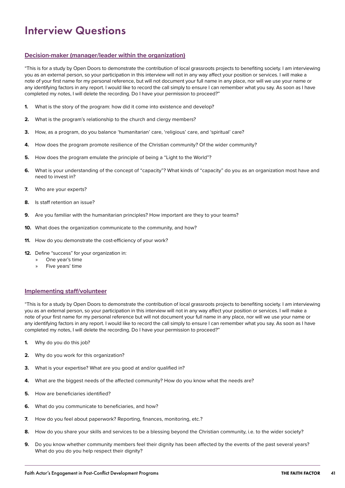# <span id="page-40-0"></span>Interview Questions

### **Decision-maker (manager/leader within the organization)**

"This is for a study by Open Doors to demonstrate the contribution of local grassroots projects to benefiting society. I am interviewing you as an external person, so your participation in this interview will not in any way affect your position or services. I will make a note of your first name for my personal reference, but will not document your full name in any place, nor will we use your name or any identifying factors in any report. I would like to record the call simply to ensure I can remember what you say. As soon as I have completed my notes, I will delete the recording. Do I have your permission to proceed?"

- **1.** What is the story of the program: how did it come into existence and develop?
- **2.** What is the program's relationship to the church and clergy members?
- **3.** How, as a program, do you balance 'humanitarian' care, 'religious' care, and 'spiritual' care?
- **4.** How does the program promote resilience of the Christian community? Of the wider community?
- **5.** How does the program emulate the principle of being a "Light to the World"?
- **6.** What is your understanding of the concept of "capacity"? What kinds of "capacity" do you as an organization most have and need to invest in?
- **7.** Who are your experts?
- **8.** Is staff retention an issue?
- **9.** Are you familiar with the humanitarian principles? How important are they to your teams?
- **10.** What does the organization communicate to the community, and how?
- **11.** How do you demonstrate the cost-efficiency of your work?
- **12.** Define "success" for your organization in:
	- » One year's time
	- » Five years' time

#### **Implementing staff/volunteer**

"This is for a study by Open Doors to demonstrate the contribution of local grassroots projects to benefiting society. I am interviewing you as an external person, so your participation in this interview will not in any way affect your position or services. I will make a note of your first name for my personal reference but will not document your full name in any place, nor will we use your name or any identifying factors in any report. I would like to record the call simply to ensure I can remember what you say. As soon as I have completed my notes, I will delete the recording. Do I have your permission to proceed?"

- **1.** Why do you do this job?
- **2.** Why do you work for this organization?
- **3.** What is your expertise? What are you good at and/or qualified in?
- **4.** What are the biggest needs of the affected community? How do you know what the needs are?
- **5.** How are beneficiaries identified?
- **6.** What do you communicate to beneficiaries, and how?
- **7.** How do you feel about paperwork? Reporting, finances, monitoring, etc.?
- **8.** How do you share your skills and services to be a blessing beyond the Christian community, i.e. to the wider society?
- **9.** Do you know whether community members feel their dignity has been affected by the events of the past several years? What do you do you help respect their dignity?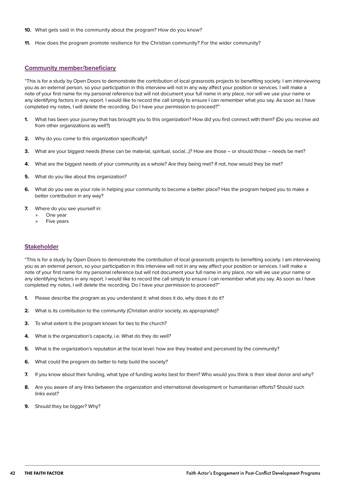- **10.** What gets said in the community about the program? How do you know?
- **11.** How does the program promote resilience for the Christian community? For the wider community?

#### **Community member/beneficiary**

"This is for a study by Open Doors to demonstrate the contribution of local grassroots projects to benefiting society. I am interviewing you as an external person, so your participation in this interview will not in any way affect your position or services. I will make a note of your first name for my personal reference but will not document your full name in any place, nor will we use your name or any identifying factors in any report. I would like to record the call simply to ensure I can remember what you say. As soon as I have completed my notes, I will delete the recording. Do I have your permission to proceed?"

- **1.** What has been your journey that has brought you to this organization? How did you first connect with them? (Do you receive aid from other organizations as well?)
- **2.** Why do you come to this organization specifically?
- **3.** What are your biggest needs (these can be material, spiritual, social…)? How are those or should those needs be met?
- **4.** What are the biggest needs of your community as a whole? Are they being met? If not, how would they be met?
- **5.** What do you like about this organization?
- **6.** What do you see as your role in helping your community to become a better place? Has the program helped you to make a better contribution in any way?
- **7.** Where do you see yourself in:
	- » One year
	- » Five years

#### **Stakeholder**

"This is for a study by Open Doors to demonstrate the contribution of local grassroots projects to benefiting society. I am interviewing you as an external person, so your participation in this interview will not in any way affect your position or services. I will make a note of your first name for my personal reference but will not document your full name in any place, nor will we use your name or any identifying factors in any report. I would like to record the call simply to ensure I can remember what you say. As soon as I have completed my notes, I will delete the recording. Do I have your permission to proceed?"

- **1.** Please describe the program as you understand it: what does it do, why does it do it?
- **2.** What is its contribution to the community (Christian and/or society, as appropriate)?
- **3.** To what extent is the program known for ties to the church?
- **4.** What is the organization's capacity, i.e. What do they do well?
- **5.** What is the organization's reputation at the local level: how are they treated and perceived by the community?
- **6.** What could the program do better to help build the society?
- **7.** If you know about their funding, what type of funding works best for them? Who would you think is their ideal donor and why?
- **8.** Are you aware of any links between the organization and international development or humanitarian efforts? Should such links exist?
- **9.** Should they be bigger? Why?